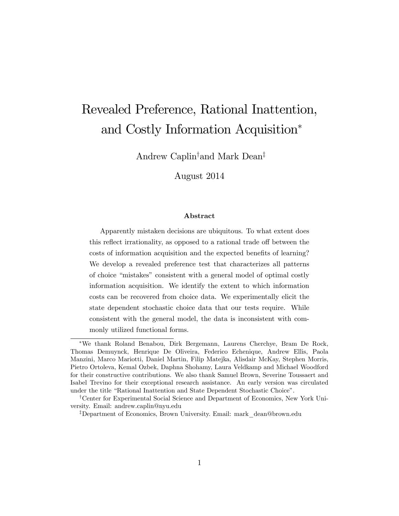# Revealed Preference, Rational Inattention, and Costly Information Acquisition

Andrew Caplin<sup>†</sup> and Mark Dean<sup>‡</sup>

August 2014

#### Abstract

Apparently mistaken decisions are ubiquitous. To what extent does this reflect irrationality, as opposed to a rational trade off between the costs of information acquisition and the expected benefits of learning? We develop a revealed preference test that characterizes all patterns of choice "mistakes" consistent with a general model of optimal costly information acquisition. We identify the extent to which information costs can be recovered from choice data. We experimentally elicit the state dependent stochastic choice data that our tests require. While consistent with the general model, the data is inconsistent with commonly utilized functional forms.

We thank Roland Benabou, Dirk Bergemann, Laurens Cherchye, Bram De Rock, Thomas Demuynck, Henrique De Oliveira, Federico Echenique, Andrew Ellis, Paola Manzini, Marco Mariotti, Daniel Martin, Filip Matejka, Alisdair McKay, Stephen Morris, Pietro Ortoleva, Kemal Ozbek, Daphna Shohamy, Laura Veldkamp and Michael Woodford for their constructive contributions. We also thank Samuel Brown, Severine Toussaert and Isabel Trevino for their exceptional research assistance. An early version was circulated under the title "Rational Inattention and State Dependent Stochastic Choice".

<sup>&</sup>lt;sup>†</sup>Center for Experimental Social Science and Department of Economics, New York University. Email: andrew.caplin@nyu.edu

<sup>&</sup>lt;sup>‡</sup>Department of Economics, Brown University. Email: mark dean@brown.edu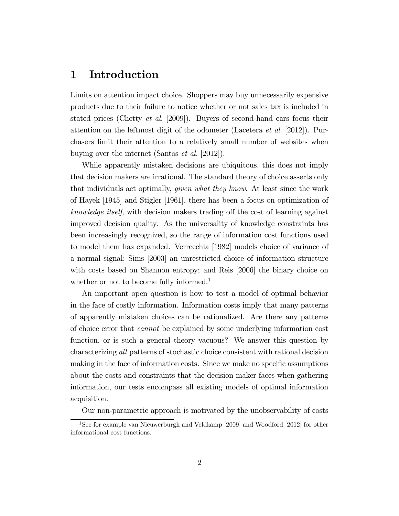### 1 Introduction

Limits on attention impact choice. Shoppers may buy unnecessarily expensive products due to their failure to notice whether or not sales tax is included in stated prices (Chetty *et al.* [2009]). Buyers of second-hand cars focus their attention on the leftmost digit of the odometer (Lacetera *et al.* [2012]). Purchasers limit their attention to a relatively small number of websites when buying over the internet (Santos et al. [2012]).

While apparently mistaken decisions are ubiquitous, this does not imply that decision makers are irrational. The standard theory of choice asserts only that individuals act optimally, given what they know. At least since the work of Hayek [1945] and Stigler [1961], there has been a focus on optimization of knowledge itself, with decision makers trading off the cost of learning against improved decision quality. As the universality of knowledge constraints has been increasingly recognized, so the range of information cost functions used to model them has expanded. Verrecchia [1982] models choice of variance of a normal signal; Sims [2003] an unrestricted choice of information structure with costs based on Shannon entropy; and Reis [2006] the binary choice on whether or not to become fully informed.<sup>1</sup>

An important open question is how to test a model of optimal behavior in the face of costly information. Information costs imply that many patterns of apparently mistaken choices can be rationalized. Are there any patterns of choice error that cannot be explained by some underlying information cost function, or is such a general theory vacuous? We answer this question by characterizing all patterns of stochastic choice consistent with rational decision making in the face of information costs. Since we make no specific assumptions about the costs and constraints that the decision maker faces when gathering information, our tests encompass all existing models of optimal information acquisition.

Our non-parametric approach is motivated by the unobservability of costs

<sup>1</sup>See for example van Nieuwerburgh and Veldkamp [2009] and Woodford [2012] for other informational cost functions.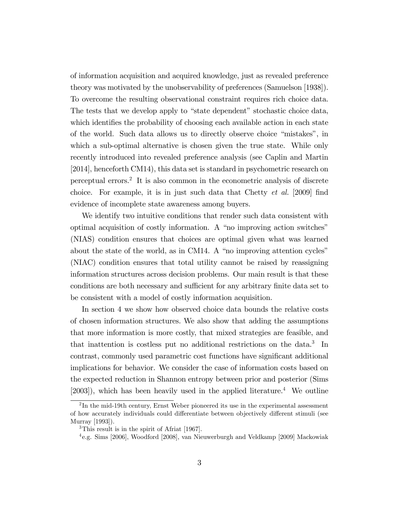of information acquisition and acquired knowledge, just as revealed preference theory was motivated by the unobservability of preferences (Samuelson [1938]). To overcome the resulting observational constraint requires rich choice data. The tests that we develop apply to "state dependent" stochastic choice data, which identifies the probability of choosing each available action in each state of the world. Such data allows us to directly observe choice "mistakes", in which a sub-optimal alternative is chosen given the true state. While only recently introduced into revealed preference analysis (see Caplin and Martin [2014], henceforth CM14), this data set is standard in psychometric research on perceptual errors.<sup>2</sup> It is also common in the econometric analysis of discrete choice. For example, it is in just such data that Chetty *et al.* [2009] find evidence of incomplete state awareness among buyers.

We identify two intuitive conditions that render such data consistent with optimal acquisition of costly information. A "no improving action switches" (NIAS) condition ensures that choices are optimal given what was learned about the state of the world, as in CM14. A "no improving attention cycles" (NIAC) condition ensures that total utility cannot be raised by reassigning information structures across decision problems. Our main result is that these conditions are both necessary and sufficient for any arbitrary finite data set to be consistent with a model of costly information acquisition.

In section 4 we show how observed choice data bounds the relative costs of chosen information structures. We also show that adding the assumptions that more information is more costly, that mixed strategies are feasible, and that inattention is costless put no additional restrictions on the data.<sup>3</sup> In contrast, commonly used parametric cost functions have significant additional implications for behavior. We consider the case of information costs based on the expected reduction in Shannon entropy between prior and posterior (Sims  $[2003]$ , which has been heavily used in the applied literature.<sup>4</sup> We outline

 $2 \text{In the mid-19th century, Ernst Weber pioneered its use in the experimental assessment}$ of how accurately individuals could differentiate between objectively different stimuli (see Murray [1993]).

<sup>3</sup>This result is in the spirit of Afriat [1967].

<sup>4</sup> e.g. Sims [2006], Woodford [2008], van Nieuwerburgh and Veldkamp [2009] Mackowiak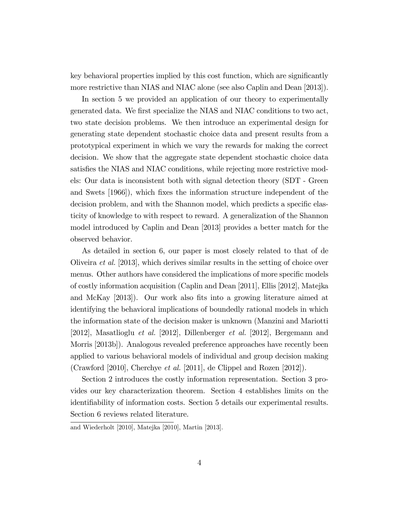key behavioral properties implied by this cost function, which are significantly more restrictive than NIAS and NIAC alone (see also Caplin and Dean [2013]).

In section 5 we provided an application of our theory to experimentally generated data. We first specialize the NIAS and NIAC conditions to two act, two state decision problems. We then introduce an experimental design for generating state dependent stochastic choice data and present results from a prototypical experiment in which we vary the rewards for making the correct decision. We show that the aggregate state dependent stochastic choice data satisfies the NIAS and NIAC conditions, while rejecting more restrictive models: Our data is inconsistent both with signal detection theory (SDT - Green and Swets [1966]), which fixes the information structure independent of the decision problem, and with the Shannon model, which predicts a specific elasticity of knowledge to with respect to reward. A generalization of the Shannon model introduced by Caplin and Dean [2013] provides a better match for the observed behavior.

As detailed in section 6, our paper is most closely related to that of de Oliveira et al. [2013], which derives similar results in the setting of choice over menus. Other authors have considered the implications of more specific models of costly information acquisition (Caplin and Dean [2011], Ellis [2012], Matejka and McKay [2013]). Our work also fits into a growing literature aimed at identifying the behavioral implications of boundedly rational models in which the information state of the decision maker is unknown (Manzini and Mariotti [2012], Masatlioglu et al. [2012], Dillenberger et al. [2012], Bergemann and Morris [2013b]). Analogous revealed preference approaches have recently been applied to various behavioral models of individual and group decision making (Crawford [2010], Cherchye et al. [2011], de Clippel and Rozen [2012]).

Section 2 introduces the costly information representation. Section 3 provides our key characterization theorem. Section 4 establishes limits on the identifiability of information costs. Section 5 details our experimental results. Section 6 reviews related literature.

and Wiederholt [2010], Matejka [2010], Martin [2013].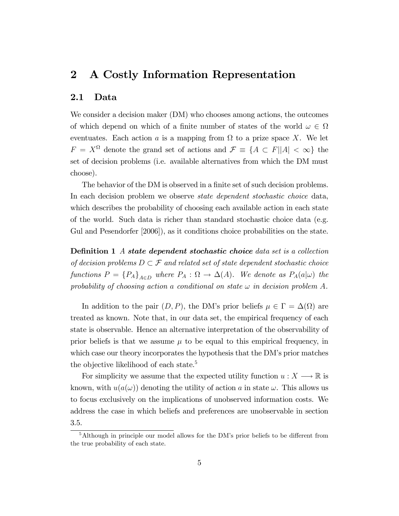### 2 A Costly Information Representation

#### 2.1 Data

We consider a decision maker (DM) who chooses among actions, the outcomes of which depend on which of a finite number of states of the world  $\omega \in \Omega$ eventuates. Each action a is a mapping from  $\Omega$  to a prize space X. We let  $F = X^{\Omega}$  denote the grand set of actions and  $\mathcal{F} \equiv \{A \subset F | |A| < \infty\}$  the set of decision problems (i.e. available alternatives from which the DM must choose).

The behavior of the DM is observed in a finite set of such decision problems. In each decision problem we observe *state dependent stochastic choice* data, which describes the probability of choosing each available action in each state of the world. Such data is richer than standard stochastic choice data (e.g. Gul and Pesendorfer [2006]), as it conditions choice probabilities on the state.

**Definition 1** A state dependent stochastic choice data set is a collection of decision problems  $D \subset \mathcal{F}$  and related set of state dependent stochastic choice functions  $P = \{P_A\}_{A \in D}$  where  $P_A : \Omega \to \Delta(A)$ . We denote as  $P_A(a|\omega)$  the probability of choosing action a conditional on state  $\omega$  in decision problem A.

In addition to the pair  $(D, P)$ , the DM's prior beliefs  $\mu \in \Gamma = \Delta(\Omega)$  are treated as known. Note that, in our data set, the empirical frequency of each state is observable. Hence an alternative interpretation of the observability of prior beliefs is that we assume  $\mu$  to be equal to this empirical frequency, in which case our theory incorporates the hypothesis that the DM's prior matches the objective likelihood of each state.<sup>5</sup>

For simplicity we assume that the expected utility function  $u: X \longrightarrow \mathbb{R}$  is known, with  $u(a(\omega))$  denoting the utility of action a in state  $\omega$ . This allows us to focus exclusively on the implications of unobserved information costs. We address the case in which beliefs and preferences are unobservable in section 3.5.

 $5$ Although in principle our model allows for the DM's prior beliefs to be different from the true probability of each state.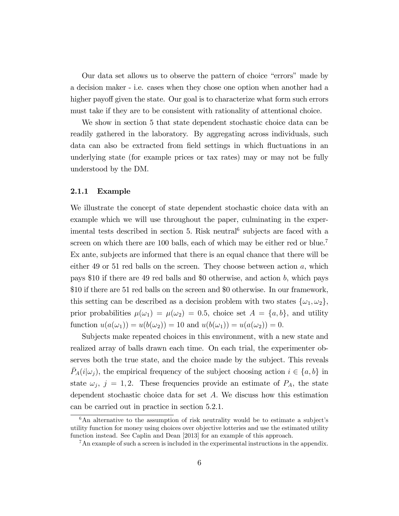Our data set allows us to observe the pattern of choice "errors" made by a decision maker - i.e. cases when they chose one option when another had a higher payoff given the state. Our goal is to characterize what form such errors must take if they are to be consistent with rationality of attentional choice.

We show in section 5 that state dependent stochastic choice data can be readily gathered in the laboratory. By aggregating across individuals, such data can also be extracted from field settings in which fluctuations in an underlying state (for example prices or tax rates) may or may not be fully understood by the DM.

#### 2.1.1 Example

We illustrate the concept of state dependent stochastic choice data with an example which we will use throughout the paper, culminating in the experimental tests described in section 5. Risk neutral<sup>6</sup> subjects are faced with a screen on which there are 100 balls, each of which may be either red or blue.<sup>7</sup> Ex ante, subjects are informed that there is an equal chance that there will be either 49 or 51 red balls on the screen. They choose between action  $a$ , which pays \$10 if there are 49 red balls and \$0 otherwise, and action b, which pays \$10 if there are 51 red balls on the screen and \$0 otherwise. In our framework, this setting can be described as a decision problem with two states  $\{\omega_1, \omega_2\}$ , prior probabilities  $\mu(\omega_1) = \mu(\omega_2) = 0.5$ , choice set  $A = \{a, b\}$ , and utility function  $u(a(\omega_1)) = u(b(\omega_2)) = 10$  and  $u(b(\omega_1)) = u(a(\omega_2)) = 0.$ 

Subjects make repeated choices in this environment, with a new state and realized array of balls drawn each time. On each trial, the experimenter observes both the true state, and the choice made by the subject. This reveals  $\bar{P}_A(i|\omega_j)$ , the empirical frequency of the subject choosing action  $i \in \{a, b\}$  in state  $\omega_j$ ,  $j = 1, 2$ . These frequencies provide an estimate of  $P_A$ , the state dependent stochastic choice data for set  $A$ . We discuss how this estimation can be carried out in practice in section 5.2.1.

 $6$ An alternative to the assumption of risk neutrality would be to estimate a subject's utility function for money using choices over objective lotteries and use the estimated utility function instead. See Caplin and Dean [2013] for an example of this approach.

<sup>&</sup>lt;sup>7</sup>An example of such a screen is included in the experimental instructions in the appendix.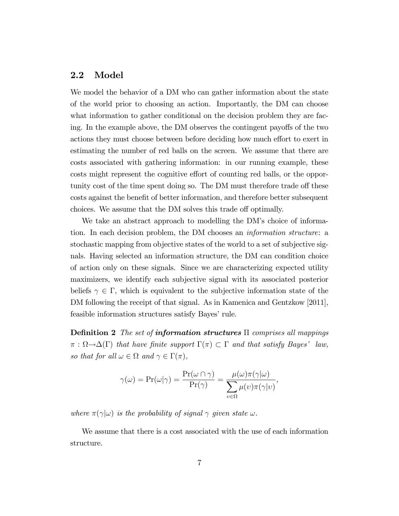#### 2.2 Model

We model the behavior of a DM who can gather information about the state of the world prior to choosing an action. Importantly, the DM can choose what information to gather conditional on the decision problem they are facing. In the example above, the DM observes the contingent payoffs of the two actions they must choose between before deciding how much effort to exert in estimating the number of red balls on the screen. We assume that there are costs associated with gathering information: in our running example, these costs might represent the cognitive effort of counting red balls, or the opportunity cost of the time spent doing so. The DM must therefore trade off these costs against the benefit of better information, and therefore better subsequent choices. We assume that the DM solves this trade off optimally.

We take an abstract approach to modelling the DM's choice of information. In each decision problem, the DM chooses an information structure: a stochastic mapping from objective states of the world to a set of subjective signals. Having selected an information structure, the DM can condition choice of action only on these signals. Since we are characterizing expected utility maximizers, we identify each subjective signal with its associated posterior beliefs  $\gamma \in \Gamma$ , which is equivalent to the subjective information state of the DM following the receipt of that signal. As in Kamenica and Gentzkow [2011], feasible information structures satisfy Bayes' rule.

**Definition 2** The set of information structures  $\Pi$  comprises all mappings  $\pi : \Omega \to \Delta(\Gamma)$  that have finite support  $\Gamma(\pi) \subset \Gamma$  and that satisfy Bayes' law, so that for all  $\omega \in \Omega$  and  $\gamma \in \Gamma(\pi)$ ,

$$
\gamma(\omega) = \Pr(\omega|\gamma) = \frac{\Pr(\omega \cap \gamma)}{\Pr(\gamma)} = \frac{\mu(\omega)\pi(\gamma|\omega)}{\sum_{v \in \Omega} \mu(v)\pi(\gamma|v)},
$$

where  $\pi(\gamma|\omega)$  is the probability of signal  $\gamma$  given state  $\omega$ .

We assume that there is a cost associated with the use of each information structure.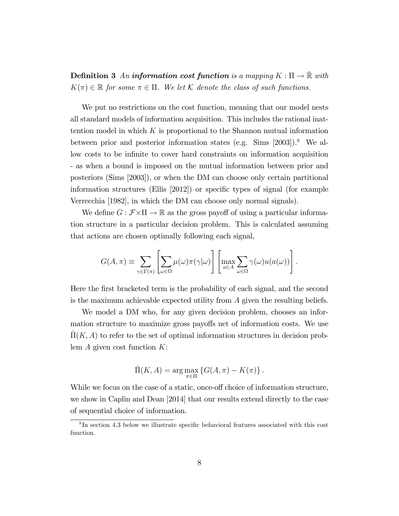**Definition 3** An information cost function is a mapping  $K : \Pi \to \overline{\mathbb{R}}$  with  $K(\pi) \in \mathbb{R}$  for some  $\pi \in \Pi$ . We let K denote the class of such functions.

We put no restrictions on the cost function, meaning that our model nests all standard models of information acquisition. This includes the rational inattention model in which  $K$  is proportional to the Shannon mutual information between prior and posterior information states (e.g. Sims [2003]).<sup>8</sup> We allow costs to be infinite to cover hard constraints on information acquisition - as when a bound is imposed on the mutual information between prior and posteriors (Sims [2003]), or when the DM can choose only certain partitional information structures (Ellis  $[2012]$ ) or specific types of signal (for example Verrecchia [1982], in which the DM can choose only normal signals).

We define  $G : \mathcal{F} \times \Pi \to \mathbb{R}$  as the gross payoff of using a particular information structure in a particular decision problem. This is calculated assuming that actions are chosen optimally following each signal,

$$
G(A,\pi) \equiv \sum_{\gamma \in \Gamma(\pi)} \left[ \sum_{\omega \in \Omega} \mu(\omega) \pi(\gamma | \omega) \right] \left[ \max_{a \in A} \sum_{\omega \in \Omega} \gamma(\omega) u(a(\omega)) \right].
$$

Here the first bracketed term is the probability of each signal, and the second is the maximum achievable expected utility from A given the resulting beliefs.

We model a DM who, for any given decision problem, chooses an information structure to maximize gross payoffs net of information costs. We use  $\Pi(K, A)$  to refer to the set of optimal information structures in decision problem  $A$  given cost function  $K$ :

$$
\widehat{\Pi}(K, A) = \arg \max_{\pi \in \Pi} \left\{ G(A, \pi) - K(\pi) \right\}.
$$

While we focus on the case of a static, once-off choice of information structure, we show in Caplin and Dean [2014] that our results extend directly to the case of sequential choice of information.

 ${}^{8}$ In section 4.3 below we illustrate specific behavioral features associated with this cost function.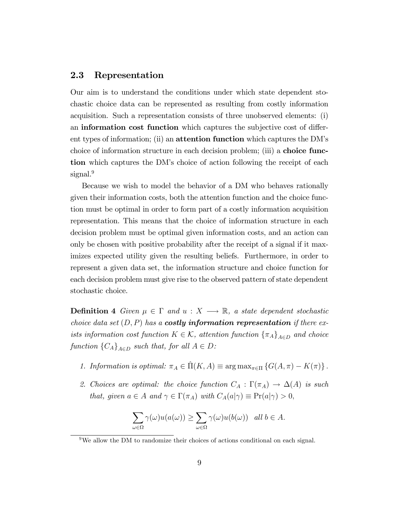#### 2.3 Representation

Our aim is to understand the conditions under which state dependent stochastic choice data can be represented as resulting from costly information acquisition. Such a representation consists of three unobserved elements: (i) an **information cost function** which captures the subjective cost of different types of information; (ii) an **attention function** which captures the DM's choice of information structure in each decision problem; (iii) a choice function which captures the DM's choice of action following the receipt of each signal.<sup>9</sup>

Because we wish to model the behavior of a DM who behaves rationally given their information costs, both the attention function and the choice function must be optimal in order to form part of a costly information acquisition representation. This means that the choice of information structure in each decision problem must be optimal given information costs, and an action can only be chosen with positive probability after the receipt of a signal if it maximizes expected utility given the resulting beliefs. Furthermore, in order to represent a given data set, the information structure and choice function for each decision problem must give rise to the observed pattern of state dependent stochastic choice.

**Definition 4** Given  $\mu \in \Gamma$  and  $u : X \longrightarrow \mathbb{R}$ , a state dependent stochastic choice data set  $(D, P)$  has a **costly information representation** if there exists information cost function  $K \in \mathcal{K}$ , attention function  $\{\pi_A\}_{A \in D}$  and choice function  ${C_A}_{A \in D}$  such that, for all  $A \in D$ :

- 1. Information is optimal:  $\pi_A \in \hat{\Pi}(K, A) \equiv \arg \max_{\pi \in \Pi} \{G(A, \pi) K(\pi)\}.$
- 2. Choices are optimal: the choice function  $C_A : \Gamma(\pi_A) \to \Delta(A)$  is such that, given  $a \in A$  and  $\gamma \in \Gamma(\pi_A)$  with  $C_A(a|\gamma) \equiv \Pr(a|\gamma) > 0$ ,

$$
\sum_{\omega \in \Omega} \gamma(\omega) u(a(\omega)) \ge \sum_{\omega \in \Omega} \gamma(\omega) u(b(\omega)) \quad \text{all } b \in A.
$$

<sup>&</sup>lt;sup>9</sup>We allow the DM to randomize their choices of actions conditional on each signal.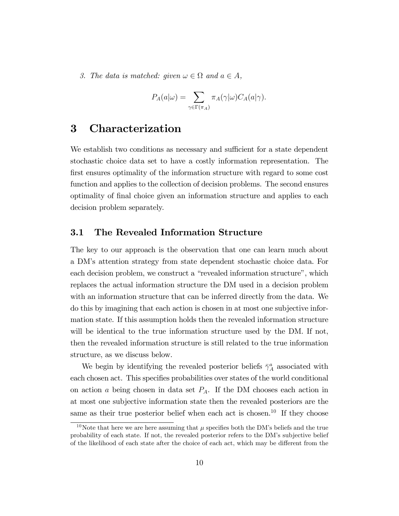3. The data is matched: given  $\omega \in \Omega$  and  $a \in A$ ,

$$
P_A(a|\omega) = \sum_{\gamma \in \Gamma(\pi_A)} \pi_A(\gamma|\omega) C_A(a|\gamma).
$$

### 3 Characterization

We establish two conditions as necessary and sufficient for a state dependent stochastic choice data set to have a costly information representation. The first ensures optimality of the information structure with regard to some cost function and applies to the collection of decision problems. The second ensures optimality of Önal choice given an information structure and applies to each decision problem separately.

#### 3.1 The Revealed Information Structure

The key to our approach is the observation that one can learn much about a DMís attention strategy from state dependent stochastic choice data. For each decision problem, we construct a "revealed information structure", which replaces the actual information structure the DM used in a decision problem with an information structure that can be inferred directly from the data. We do this by imagining that each action is chosen in at most one subjective information state. If this assumption holds then the revealed information structure will be identical to the true information structure used by the DM. If not, then the revealed information structure is still related to the true information structure, as we discuss below.

We begin by identifying the revealed posterior beliefs  $\bar{\gamma}_A^a$  associated with each chosen act. This specifies probabilities over states of the world conditional on action a being chosen in data set  $P_A$ . If the DM chooses each action in at most one subjective information state then the revealed posteriors are the same as their true posterior belief when each act is chosen.<sup>10</sup> If they choose

<sup>&</sup>lt;sup>10</sup>Note that here we are here assuming that  $\mu$  specifies both the DM's beliefs and the true probability of each state. If not, the revealed posterior refers to the DMís subjective belief of the likelihood of each state after the choice of each act, which may be different from the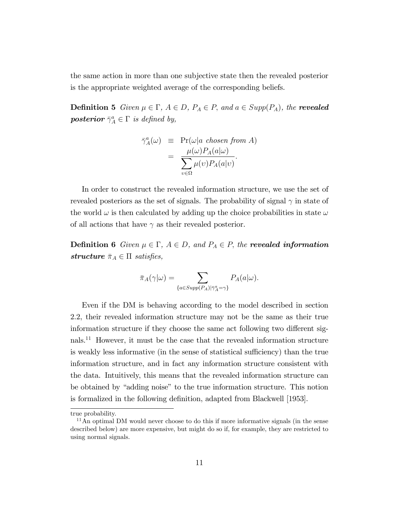the same action in more than one subjective state then the revealed posterior is the appropriate weighted average of the corresponding beliefs.

**Definition 5** Given  $\mu \in \Gamma$ ,  $A \in D$ ,  $P_A \in P$ , and  $a \in Supp(P_A)$ , the **revealed** posterior  $\bar{\gamma}_A^a \in \Gamma$  is defined by,

$$
\bar{\gamma}_A^a(\omega) \equiv \Pr(\omega|a \text{ chosen from } A) \n= \frac{\mu(\omega) P_A(a|\omega)}{\sum_{v \in \Omega} \mu(v) P_A(a|v)}.
$$

In order to construct the revealed information structure, we use the set of revealed posteriors as the set of signals. The probability of signal  $\gamma$  in state of the world  $\omega$  is then calculated by adding up the choice probabilities in state  $\omega$ of all actions that have  $\gamma$  as their revealed posterior.

**Definition 6** Given  $\mu \in \Gamma$ ,  $A \in D$ , and  $P_A \in P$ , the **revealed information** structure  $\bar{\pi}_A \in \Pi$  satisfies,

$$
\bar{\pi}_A(\gamma|\omega) = \sum_{\{a \in Supp(P_A) | \bar{\gamma}_A^a = \gamma\}} P_A(a|\omega).
$$

Even if the DM is behaving according to the model described in section 2.2, their revealed information structure may not be the same as their true information structure if they choose the same act following two different signals.<sup>11</sup> However, it must be the case that the revealed information structure is weakly less informative (in the sense of statistical sufficiency) than the true information structure, and in fact any information structure consistent with the data. Intuitively, this means that the revealed information structure can be obtained by "adding noise" to the true information structure. This notion is formalized in the following definition, adapted from Blackwell [1953].

true probability.

 $11$ An optimal DM would never choose to do this if more informative signals (in the sense described below) are more expensive, but might do so if, for example, they are restricted to using normal signals.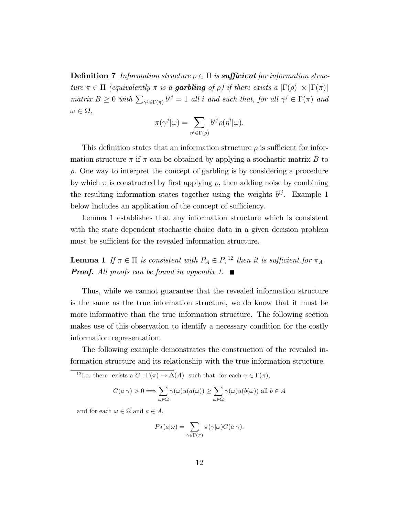**Definition 7** Information structure  $\rho \in \Pi$  is **sufficient** for information structure  $\pi \in \Pi$  (equivalently  $\pi$  is a **garbling** of  $\rho$ ) if there exists a  $|\Gamma(\rho)| \times |\Gamma(\pi)|$ matrix  $B \ge 0$  with  $\sum_{\gamma^j \in \Gamma(\pi)} b^{ij} = 1$  all i and such that, for all  $\gamma^j \in \Gamma(\pi)$  and  $\omega \in \Omega$ ,

$$
\pi(\gamma^{j}|\omega) = \sum_{\eta^{i} \in \Gamma(\rho)} b^{ij} \rho(\eta^{i}|\omega).
$$

This definition states that an information structure  $\rho$  is sufficient for information structure  $\pi$  if  $\pi$  can be obtained by applying a stochastic matrix B to  $\rho$ . One way to interpret the concept of garbling is by considering a procedure by which  $\pi$  is constructed by first applying  $\rho$ , then adding noise by combining the resulting information states together using the weights  $b^{ij}$ . Example 1 below includes an application of the concept of sufficiency.

Lemma 1 establishes that any information structure which is consistent with the state dependent stochastic choice data in a given decision problem must be sufficient for the revealed information structure.

**Lemma 1** If  $\pi \in \Pi$  is consistent with  $P_A \in P$ , <sup>12</sup> then it is sufficient for  $\bar{\pi}_A$ . **Proof.** All proofs can be found in appendix 1.  $\blacksquare$ 

Thus, while we cannot guarantee that the revealed information structure is the same as the true information structure, we do know that it must be more informative than the true information structure. The following section makes use of this observation to identify a necessary condition for the costly information representation.

The following example demonstrates the construction of the revealed information structure and its relationship with the true information structure.

<sup>12</sup> i.e. there exists a  $C: \Gamma(\pi) \to \Delta(A)$  such that, for each  $\gamma \in \Gamma(\pi)$ ,

$$
C(a|\gamma) > 0 \Longrightarrow \sum_{\omega \in \Omega} \gamma(\omega) u(a(\omega)) \ge \sum_{\omega \in \Omega} \gamma(\omega) u(b(\omega)) \text{ all } b \in A
$$

and for each  $\omega \in \Omega$  and  $a \in A$ ,

$$
P_A(a|\omega) = \sum_{\gamma \in \Gamma(\pi)} \pi(\gamma|\omega) C(a|\gamma).
$$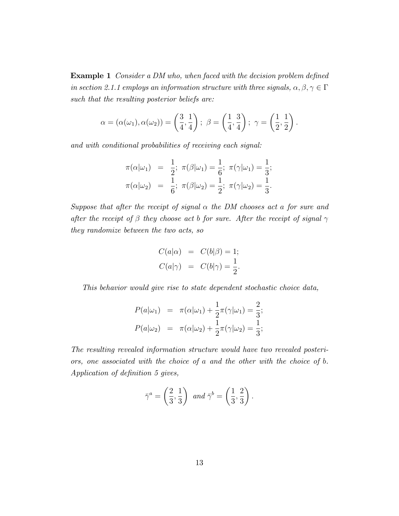**Example 1** Consider a DM who, when faced with the decision problem defined in section 2.1.1 employs an information structure with three signals,  $\alpha, \beta, \gamma \in \Gamma$ such that the resulting posterior beliefs are:

$$
\alpha = (\alpha(\omega_1), \alpha(\omega_2)) = \left(\frac{3}{4}, \frac{1}{4}\right); \ \beta = \left(\frac{1}{4}, \frac{3}{4}\right); \ \gamma = \left(\frac{1}{2}, \frac{1}{2}\right).
$$

and with conditional probabilities of receiving each signal:

$$
\pi(\alpha|\omega_1) = \frac{1}{2}; \ \pi(\beta|\omega_1) = \frac{1}{6}; \ \pi(\gamma|\omega_1) = \frac{1}{3}; \n\pi(\alpha|\omega_2) = \frac{1}{6}; \ \pi(\beta|\omega_2) = \frac{1}{2}; \ \pi(\gamma|\omega_2) = \frac{1}{3}.
$$

Suppose that after the receipt of signal  $\alpha$  the DM chooses act a for sure and after the receipt of  $\beta$  they choose act b for sure. After the receipt of signal  $\gamma$ they randomize between the two acts, so

$$
C(a|\alpha) = C(b|\beta) = 1;
$$
  

$$
C(a|\gamma) = C(b|\gamma) = \frac{1}{2}.
$$

This behavior would give rise to state dependent stochastic choice data,

$$
P(a|\omega_1) = \pi(\alpha|\omega_1) + \frac{1}{2}\pi(\gamma|\omega_1) = \frac{2}{3};
$$
  

$$
P(a|\omega_2) = \pi(\alpha|\omega_2) + \frac{1}{2}\pi(\gamma|\omega_2) = \frac{1}{3};
$$

The resulting revealed information structure would have two revealed posteriors, one associated with the choice of a and the other with the choice of b. Application of definition 5 gives,

$$
\bar{\gamma}^a = \left(\frac{2}{3}, \frac{1}{3}\right) \text{ and } \bar{\gamma}^b = \left(\frac{1}{3}, \frac{2}{3}\right).
$$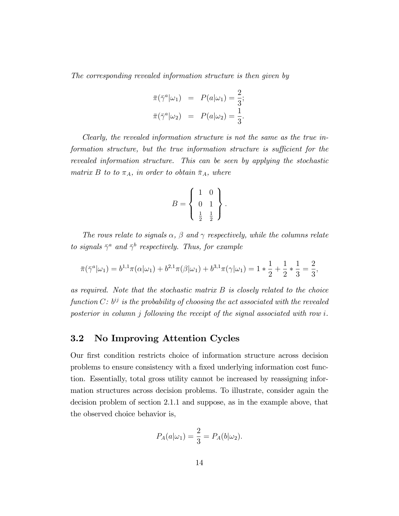The corresponding revealed information structure is then given by

$$
\overline{\pi}(\overline{\gamma}^a|\omega_1) = P(a|\omega_1) = \frac{2}{3};
$$
  

$$
\overline{\pi}(\overline{\gamma}^a|\omega_2) = P(a|\omega_2) = \frac{1}{3}.
$$

Clearly, the revealed information structure is not the same as the true information structure, but the true information structure is sufficient for the revealed information structure. This can be seen by applying the stochastic matrix B to to  $\pi_A$ , in order to obtain  $\bar{\pi}_A$ , where

$$
B = \left\{ \begin{array}{c} 1 & 0 \\ 0 & 1 \\ \frac{1}{2} & \frac{1}{2} \end{array} \right\}.
$$

The rows relate to signals  $\alpha$ ,  $\beta$  and  $\gamma$  respectively, while the columns relate to signals  $\bar{\gamma}^a$  and  $\bar{\gamma}^b$  respectively. Thus, for example

$$
\bar{\pi}(\bar{\gamma}^a|\omega_1) = b^{1,1}\pi(\alpha|\omega_1) + b^{2,1}\pi(\beta|\omega_1) + b^{3,1}\pi(\gamma|\omega_1) = 1 * \frac{1}{2} + \frac{1}{2} * \frac{1}{3} = \frac{2}{3},
$$

as required. Note that the stochastic matrix  $B$  is closely related to the choice function  $C: b^{ij}$  is the probability of choosing the act associated with the revealed posterior in column j following the receipt of the signal associated with row i.

### 3.2 No Improving Attention Cycles

Our first condition restricts choice of information structure across decision problems to ensure consistency with a fixed underlying information cost function. Essentially, total gross utility cannot be increased by reassigning information structures across decision problems. To illustrate, consider again the decision problem of section 2.1.1 and suppose, as in the example above, that the observed choice behavior is,

$$
P_A(a|\omega_1) = \frac{2}{3} = P_A(b|\omega_2).
$$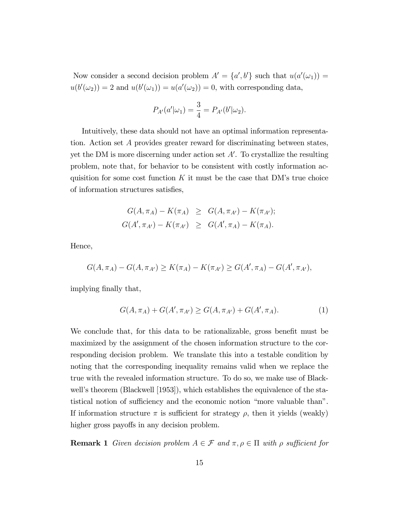Now consider a second decision problem  $A' = \{a', b'\}$  such that  $u(a'(\omega_1)) =$  $u(b'(\omega_2)) = 2$  and  $u(b'(\omega_1)) = u(a'(\omega_2)) = 0$ , with corresponding data,

$$
P_{A'}(a'|\omega_1) = \frac{3}{4} = P_{A'}(b'|\omega_2).
$$

Intuitively, these data should not have an optimal information representation. Action set A provides greater reward for discriminating between states, yet the DM is more discerning under action set  $A'$ . To crystallize the resulting problem, note that, for behavior to be consistent with costly information acquisition for some cost function K it must be the case that DM's true choice of information structures satisfies,

$$
G(A, \pi_A) - K(\pi_A) \geq G(A, \pi_{A'}) - K(\pi_{A'});
$$
  

$$
G(A', \pi_{A'}) - K(\pi_{A'}) \geq G(A', \pi_A) - K(\pi_A).
$$

Hence,

$$
G(A, \pi_A) - G(A, \pi_{A'}) \ge K(\pi_A) - K(\pi_{A'}) \ge G(A', \pi_A) - G(A', \pi_{A'}),
$$

implying finally that,

$$
G(A, \pi_A) + G(A', \pi_{A'}) \ge G(A, \pi_{A'}) + G(A', \pi_A). \tag{1}
$$

We conclude that, for this data to be rationalizable, gross benefit must be maximized by the assignment of the chosen information structure to the corresponding decision problem. We translate this into a testable condition by noting that the corresponding inequality remains valid when we replace the true with the revealed information structure. To do so, we make use of Blackwell's theorem (Blackwell [1953]), which establishes the equivalence of the statistical notion of sufficiency and the economic notion "more valuable than". If information structure  $\pi$  is sufficient for strategy  $\rho$ , then it yields (weakly) higher gross payoffs in any decision problem.

**Remark 1** Given decision problem  $A \in \mathcal{F}$  and  $\pi, \rho \in \Pi$  with  $\rho$  sufficient for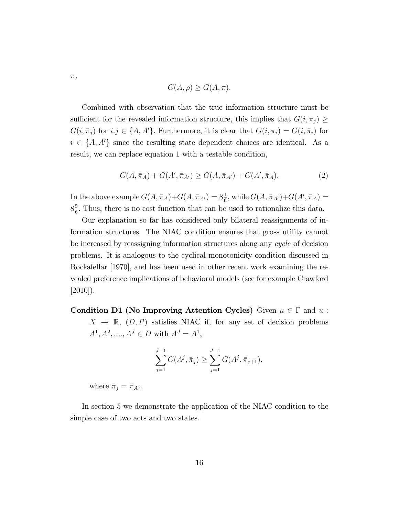$$
G(A, \rho) \ge G(A, \pi).
$$

Combined with observation that the true information structure must be sufficient for the revealed information structure, this implies that  $G(i, \pi_i) \geq$  $G(i, \bar{\pi}_j)$  for  $i. j \in \{A, A'\}$ . Furthermore, it is clear that  $G(i, \pi_i) = G(i, \bar{\pi}_i)$  for  $i \in \{A, A'\}$  since the resulting state dependent choices are identical. As a result, we can replace equation 1 with a testable condition,

$$
G(A, \bar{\pi}_A) + G(A', \bar{\pi}_{A'}) \ge G(A, \bar{\pi}_{A'}) + G(A', \bar{\pi}_A). \tag{2}
$$

In the above example  $G(A, \bar{\pi}_A) + G(A, \bar{\pi}_{A'}) = 8\frac{1}{6}$ , while  $G(A, \bar{\pi}_{A'}) + G(A', \bar{\pi}_A) =$  $8\frac{5}{6}$  $\frac{5}{6}$ . Thus, there is no cost function that can be used to rationalize this data.

Our explanation so far has considered only bilateral reassignments of information structures. The NIAC condition ensures that gross utility cannot be increased by reassigning information structures along any cycle of decision problems. It is analogous to the cyclical monotonicity condition discussed in Rockafellar [1970], and has been used in other recent work examining the revealed preference implications of behavioral models (see for example Crawford [2010]).

Condition D1 (No Improving Attention Cycles) Given  $\mu \in \Gamma$  and  $u$ :  $X \rightarrow \mathbb{R}$ ,  $(D, P)$  satisfies NIAC if, for any set of decision problems  $A^1, A^2, \dots, A^J \in D$  with  $A^J = A^1$ ,

$$
\sum_{j=1}^{J-1} G(A^j, \bar{\pi}_j) \ge \sum_{j=1}^{J-1} G(A^j, \bar{\pi}_{j+1}),
$$

where  $\bar{\pi}_j = \bar{\pi}_{A^j}$ .

In section 5 we demonstrate the application of the NIAC condition to the simple case of two acts and two states.

 $\pi,$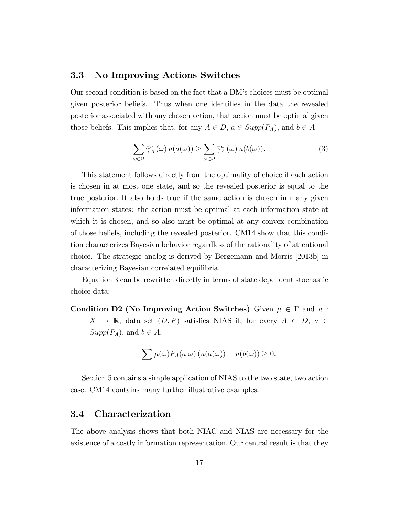#### 3.3 No Improving Actions Switches

Our second condition is based on the fact that a DMís choices must be optimal given posterior beliefs. Thus when one identifies in the data the revealed posterior associated with any chosen action, that action must be optimal given those beliefs. This implies that, for any  $A \in D$ ,  $a \in Supp(P_A)$ , and  $b \in A$ 

$$
\sum_{\omega \in \Omega} \bar{\gamma}_A^a(\omega) u(a(\omega)) \ge \sum_{\omega \in \Omega} \bar{\gamma}_A^a(\omega) u(b(\omega)). \tag{3}
$$

This statement follows directly from the optimality of choice if each action is chosen in at most one state, and so the revealed posterior is equal to the true posterior. It also holds true if the same action is chosen in many given information states: the action must be optimal at each information state at which it is chosen, and so also must be optimal at any convex combination of those beliefs, including the revealed posterior. CM14 show that this condition characterizes Bayesian behavior regardless of the rationality of attentional choice. The strategic analog is derived by Bergemann and Morris [2013b] in characterizing Bayesian correlated equilibria.

Equation 3 can be rewritten directly in terms of state dependent stochastic choice data:

Condition D2 (No Improving Action Switches) Given  $\mu \in \Gamma$  and u:  $X \rightarrow \mathbb{R}$ , data set  $(D, P)$  satisfies NIAS if, for every  $A \in D$ ,  $a \in$  $Supp(P_A)$ , and  $b \in A$ ,

$$
\sum \mu(\omega) P_A(a|\omega) \left( u(a(\omega)) - u(b(\omega)) \ge 0 \right).
$$

Section 5 contains a simple application of NIAS to the two state, two action case. CM14 contains many further illustrative examples.

#### 3.4 Characterization

The above analysis shows that both NIAC and NIAS are necessary for the existence of a costly information representation. Our central result is that they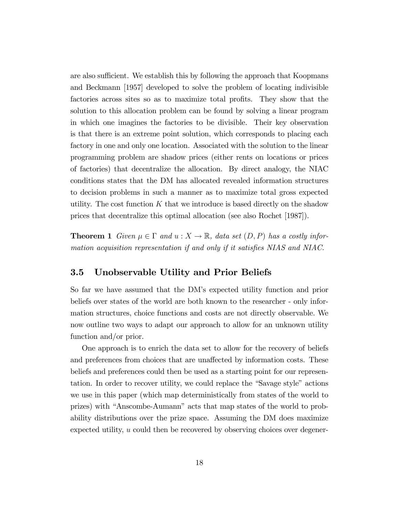are also sufficient. We establish this by following the approach that Koopmans and Beckmann [1957] developed to solve the problem of locating indivisible factories across sites so as to maximize total profits. They show that the solution to this allocation problem can be found by solving a linear program in which one imagines the factories to be divisible. Their key observation is that there is an extreme point solution, which corresponds to placing each factory in one and only one location. Associated with the solution to the linear programming problem are shadow prices (either rents on locations or prices of factories) that decentralize the allocation. By direct analogy, the NIAC conditions states that the DM has allocated revealed information structures to decision problems in such a manner as to maximize total gross expected utility. The cost function  $K$  that we introduce is based directly on the shadow prices that decentralize this optimal allocation (see also Rochet [1987]).

**Theorem 1** Given  $\mu \in \Gamma$  and  $u : X \to \mathbb{R}$ , data set  $(D, P)$  has a costly information acquisition representation if and only if it satisfies  $NIAS$  and  $NIAC$ .

#### 3.5 Unobservable Utility and Prior Beliefs

So far we have assumed that the DMís expected utility function and prior beliefs over states of the world are both known to the researcher - only information structures, choice functions and costs are not directly observable. We now outline two ways to adapt our approach to allow for an unknown utility function and/or prior.

One approach is to enrich the data set to allow for the recovery of beliefs and preferences from choices that are unaffected by information costs. These beliefs and preferences could then be used as a starting point for our representation. In order to recover utility, we could replace the "Savage style" actions we use in this paper (which map deterministically from states of the world to prizes) with "Anscombe-Aumann" acts that map states of the world to probability distributions over the prize space. Assuming the DM does maximize expected utility, u could then be recovered by observing choices over degener-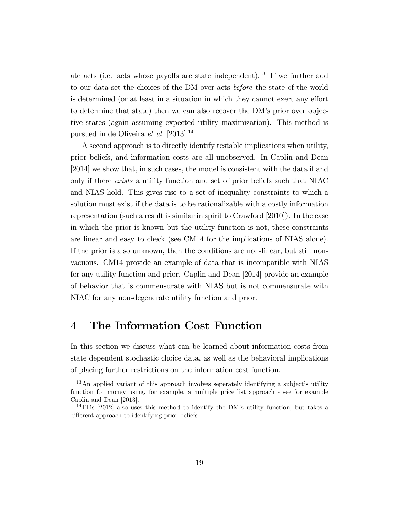ate acts (i.e. acts whose payoffs are state independent).<sup>13</sup> If we further add to our data set the choices of the DM over acts before the state of the world is determined (or at least in a situation in which they cannot exert any effort to determine that state) then we can also recover the DMís prior over objective states (again assuming expected utility maximization). This method is pursued in de Oliveira et al. [2013].<sup>14</sup>

A second approach is to directly identify testable implications when utility, prior beliefs, and information costs are all unobserved. In Caplin and Dean [2014] we show that, in such cases, the model is consistent with the data if and only if there exists a utility function and set of prior beliefs such that NIAC and NIAS hold. This gives rise to a set of inequality constraints to which a solution must exist if the data is to be rationalizable with a costly information representation (such a result is similar in spirit to Crawford [2010]). In the case in which the prior is known but the utility function is not, these constraints are linear and easy to check (see CM14 for the implications of NIAS alone). If the prior is also unknown, then the conditions are non-linear, but still nonvacuous. CM14 provide an example of data that is incompatible with NIAS for any utility function and prior. Caplin and Dean [2014] provide an example of behavior that is commensurate with NIAS but is not commensurate with NIAC for any non-degenerate utility function and prior.

### 4 The Information Cost Function

In this section we discuss what can be learned about information costs from state dependent stochastic choice data, as well as the behavioral implications of placing further restrictions on the information cost function.

 $13$ An applied variant of this approach involves seperately identifying a subject's utility function for money using, for example, a multiple price list approach - see for example Caplin and Dean [2013].

<sup>&</sup>lt;sup>14</sup>Ellis [2012] also uses this method to identify the DM's utility function, but takes a different approach to identifying prior beliefs.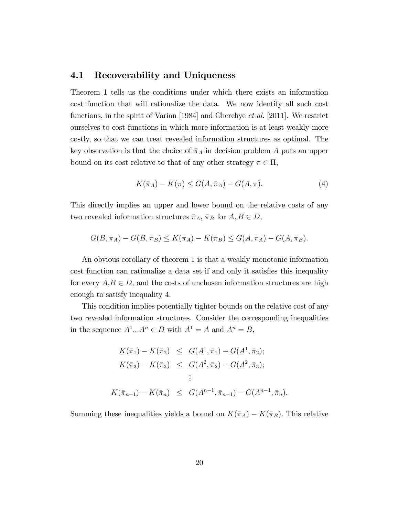#### 4.1 Recoverability and Uniqueness

Theorem 1 tells us the conditions under which there exists an information cost function that will rationalize the data. We now identify all such cost functions, in the spirit of Varian [1984] and Cherchye et al. [2011]. We restrict ourselves to cost functions in which more information is at least weakly more costly, so that we can treat revealed information structures as optimal. The key observation is that the choice of  $\bar{\pi}_A$  in decision problem A puts an upper bound on its cost relative to that of any other strategy  $\pi \in \Pi$ ,

$$
K(\bar{\pi}_A) - K(\pi) \le G(A, \bar{\pi}_A) - G(A, \pi). \tag{4}
$$

This directly implies an upper and lower bound on the relative costs of any two revealed information structures  $\bar{\pi}_A$ ,  $\bar{\pi}_B$  for  $A, B \in D$ ,

$$
G(B, \bar{\pi}_A) - G(B, \bar{\pi}_B) \le K(\bar{\pi}_A) - K(\bar{\pi}_B) \le G(A, \bar{\pi}_A) - G(A, \bar{\pi}_B).
$$

An obvious corollary of theorem 1 is that a weakly monotonic information cost function can rationalize a data set if and only it satisfies this inequality for every  $A, B \in D$ , and the costs of unchosen information structures are high enough to satisfy inequality 4.

This condition implies potentially tighter bounds on the relative cost of any two revealed information structures. Consider the corresponding inequalities in the sequence  $A^1...A^n \in D$  with  $A^1 = A$  and  $A^n = B$ ,

$$
K(\bar{\pi}_1) - K(\bar{\pi}_2) \leq G(A^1, \bar{\pi}_1) - G(A^1, \bar{\pi}_2);
$$
  
\n
$$
K(\bar{\pi}_2) - K(\bar{\pi}_3) \leq G(A^2, \bar{\pi}_2) - G(A^2, \bar{\pi}_3);
$$
  
\n
$$
\vdots
$$
  
\n
$$
K(\bar{\pi}_{n-1}) - K(\bar{\pi}_n) \leq G(A^{n-1}, \bar{\pi}_{n-1}) - G(A^{n-1}, \bar{\pi}_n).
$$

Summing these inequalities yields a bound on  $K(\bar{\pi}_A) - K(\bar{\pi}_B)$ . This relative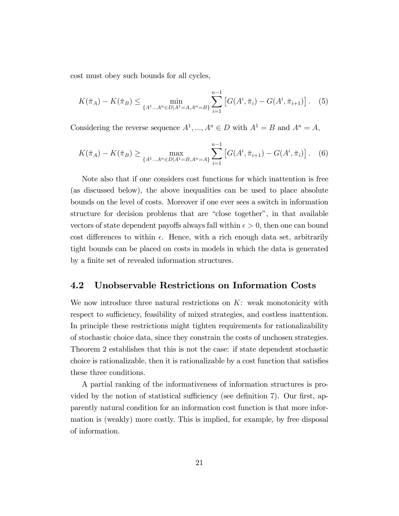cost must obey such bounds for all cycles,

$$
K(\bar{\pi}_A) - K(\bar{\pi}_B) \le \min_{\{A^1 \dots A^n \in D | A^1 = A, A^n = B\}} \sum_{i=1}^{n-1} \left[ G(A^i, \bar{\pi}_i) - G(A^i, \bar{\pi}_{i+1}) \right]. \tag{5}
$$

Considering the reverse sequence  $A^1, ..., A^n \in D$  with  $A^1 = B$  and  $A^n = A$ ,

$$
K(\bar{\pi}_A) - K(\bar{\pi}_B) \ge \max_{\{A^1 \dots A^n \in D | A^1 = B, A^n = A\}} \sum_{i=1}^{n-1} \left[ G(A^i, \bar{\pi}_{i+1}) - G(A^i, \bar{\pi}_i) \right]. \tag{6}
$$

Note also that if one considers cost functions for which inattention is free (as discussed below), the above inequalities can be used to place absolute bounds on the level of costs. Moreover if one ever sees a switch in information structure for decision problems that are "close together", in that available vectors of state dependent payoffs always fall within  $\epsilon > 0$ , then one can bound cost differences to within  $\epsilon$ . Hence, with a rich enough data set, arbitrarily tight bounds can be placed on costs in models in which the data is generated by a finite set of revealed information structures.

#### 4.2 Unobservable Restrictions on Information Costs

We now introduce three natural restrictions on  $K$ : weak monotonicity with respect to sufficiency, feasibility of mixed strategies, and costless inattention. In principle these restrictions might tighten requirements for rationalizability of stochastic choice data, since they constrain the costs of unchosen strategies. Theorem 2 establishes that this is not the case: if state dependent stochastic choice is rationalizable, then it is rationalizable by a cost function that satisfies these three conditions.

A partial ranking of the informativeness of information structures is provided by the notion of statistical sufficiency (see definition  $7$ ). Our first, apparently natural condition for an information cost function is that more information is (weakly) more costly. This is implied, for example, by free disposal of information.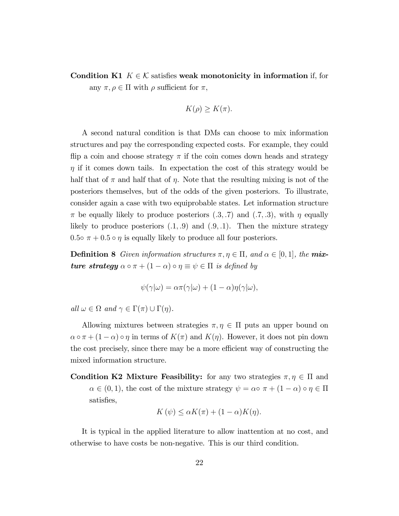Condition K1  $K \in \mathcal{K}$  satisfies weak monotonicity in information if, for any  $\pi, \rho \in \Pi$  with  $\rho$  sufficient for  $\pi$ ,

$$
K(\rho) \ge K(\pi).
$$

A second natural condition is that DMs can choose to mix information structures and pay the corresponding expected costs. For example, they could flip a coin and choose strategy  $\pi$  if the coin comes down heads and strategy  $\eta$  if it comes down tails. In expectation the cost of this strategy would be half that of  $\pi$  and half that of  $\eta$ . Note that the resulting mixing is not of the posteriors themselves, but of the odds of the given posteriors. To illustrate, consider again a case with two equiprobable states. Let information structure  $\pi$  be equally likely to produce posteriors  $(0.3, 0.7)$  and  $(0.7, 0.3)$ , with  $\eta$  equally likely to produce posteriors  $(0.1, 0.9)$  and  $(0.9, 0.1)$ . Then the mixture strategy 0.5 $\sigma \pi + 0.5 \circ \eta$  is equally likely to produce all four posteriors.

**Definition 8** Given information structures  $\pi, \eta \in \Pi$ , and  $\alpha \in [0, 1]$ , the **mix**ture strategy  $\alpha \circ \pi + (1 - \alpha) \circ \eta \equiv \psi \in \Pi$  is defined by

$$
\psi(\gamma|\omega) = \alpha \pi(\gamma|\omega) + (1-\alpha)\eta(\gamma|\omega),
$$

all  $\omega \in \Omega$  and  $\gamma \in \Gamma(\pi) \cup \Gamma(\eta)$ .

Allowing mixtures between strategies  $\pi, \eta \in \Pi$  puts an upper bound on  $\alpha \circ \pi + (1 - \alpha) \circ \eta$  in terms of  $K(\pi)$  and  $K(\eta)$ . However, it does not pin down the cost precisely, since there may be a more efficient way of constructing the mixed information structure.

Condition K2 Mixture Feasibility: for any two strategies  $\pi, \eta \in \Pi$  and  $\alpha \in (0, 1)$ , the cost of the mixture strategy  $\psi = \alpha \circ \pi + (1 - \alpha) \circ \eta \in \Pi$ satisfies,

$$
K(\psi) \le \alpha K(\pi) + (1 - \alpha)K(\eta).
$$

It is typical in the applied literature to allow inattention at no cost, and otherwise to have costs be non-negative. This is our third condition.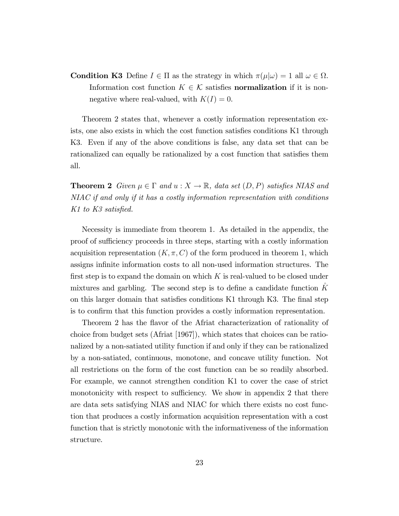**Condition K3** Define  $I \in \Pi$  as the strategy in which  $\pi(\mu|\omega) = 1$  all  $\omega \in \Omega$ . Information cost function  $K \in \mathcal{K}$  satisfies **normalization** if it is nonnegative where real-valued, with  $K(I) = 0$ .

Theorem 2 states that, whenever a costly information representation exists, one also exists in which the cost function satisfies conditions K1 through K3. Even if any of the above conditions is false, any data set that can be rationalized can equally be rationalized by a cost function that satisfies them all.

**Theorem 2** Given  $\mu \in \Gamma$  and  $u : X \to \mathbb{R}$ , data set  $(D, P)$  satisfies NIAS and NIAC if and only if it has a costly information representation with conditions K1 to K3 satisfied.

Necessity is immediate from theorem 1. As detailed in the appendix, the proof of sufficiency proceeds in three steps, starting with a costly information acquisition representation  $(K, \pi, C)$  of the form produced in theorem 1, which assigns infinite information costs to all non-used information structures. The first step is to expand the domain on which  $K$  is real-valued to be closed under mixtures and garbling. The second step is to define a candidate function  $K$ on this larger domain that satisfies conditions K1 through K3. The final step is to confirm that this function provides a costly information representation.

Theorem 2 has the flavor of the Afriat characterization of rationality of choice from budget sets (Afriat [1967]), which states that choices can be rationalized by a non-satiated utility function if and only if they can be rationalized by a non-satiated, continuous, monotone, and concave utility function. Not all restrictions on the form of the cost function can be so readily absorbed. For example, we cannot strengthen condition K1 to cover the case of strict monotonicity with respect to sufficiency. We show in appendix 2 that there are data sets satisfying NIAS and NIAC for which there exists no cost function that produces a costly information acquisition representation with a cost function that is strictly monotonic with the informativeness of the information structure.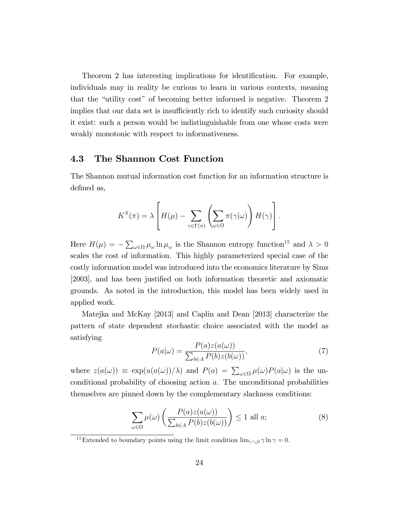Theorem 2 has interesting implications for identification. For example, individuals may in reality be curious to learn in various contexts, meaning that the "utility cost" of becoming better informed is negative. Theorem 2 implies that our data set is insufficiently rich to identify such curiosity should it exist: such a person would be indistinguishable from one whose costs were weakly monotonic with respect to informativeness.

#### 4.3 The Shannon Cost Function

The Shannon mutual information cost function for an information structure is defined as,

$$
K^{S}(\pi) = \lambda \left[ H(\mu) - \sum_{\gamma \in \Gamma(\pi)} \left( \sum_{\omega \in \Omega} \pi(\gamma | \omega) \right) H(\gamma) \right].
$$

Here  $H(\mu) = -\sum_{\omega \in \Omega} \mu_{\omega} \ln \mu_{\omega}$  is the Shannon entropy function<sup>15</sup> and  $\lambda > 0$ scales the cost of information. This highly parameterized special case of the costly information model was introduced into the economics literature by Sims [2003], and has been justified on both information theoretic and axiomatic grounds. As noted in the introduction, this model has been widely used in applied work.

Matejka and McKay [2013] and Caplin and Dean [2013] characterize the pattern of state dependent stochastic choice associated with the model as satisfying

$$
P(a|\omega) = \frac{P(a)z(a(\omega))}{\sum_{b \in A} P(b)z(b(\omega))},\tag{7}
$$

where  $z(a(\omega)) \equiv \exp(u(a(\omega))/\lambda)$  and  $P(a) = \sum_{\omega \in \Omega} \mu(\omega)P(a|\omega)$  is the unconditional probability of choosing action a. The unconditional probabilities themselves are pinned down by the complementary slackness conditions:

$$
\sum_{\omega \in \Omega} \mu(\omega) \left( \frac{P(a)z(a(\omega))}{\sum_{b \in A} P(b)z(b(\omega))} \right) \le 1 \text{ all } a;\tag{8}
$$

<sup>&</sup>lt;sup>15</sup>Extended to boundary points using the limit condition  $\lim_{\gamma\searrow 0} \gamma \ln \gamma = 0$ .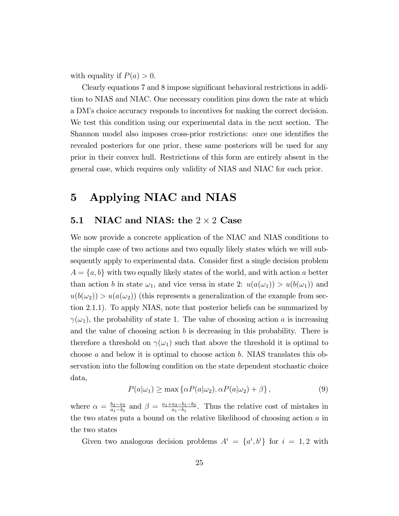with equality if  $P(a) > 0$ .

Clearly equations 7 and 8 impose significant behavioral restrictions in addition to NIAS and NIAC. One necessary condition pins down the rate at which a DMís choice accuracy responds to incentives for making the correct decision. We test this condition using our experimental data in the next section. The Shannon model also imposes cross-prior restrictions: once one identifies the revealed posteriors for one prior, these same posteriors will be used for any prior in their convex hull. Restrictions of this form are entirely absent in the general case, which requires only validity of NIAS and NIAC for each prior.

## 5 Applying NIAC and NIAS

# **5.1** NIAC and NIAS: the  $2 \times 2$  Case

We now provide a concrete application of the NIAC and NIAS conditions to the simple case of two actions and two equally likely states which we will subsequently apply to experimental data. Consider first a single decision problem  $A = \{a, b\}$  with two equally likely states of the world, and with action a better than action b in state  $\omega_1$ , and vice versa in state 2:  $u(a(\omega_1)) > u(b(\omega_1))$  and  $u(b(\omega_2)) > u(a(\omega_2))$  (this represents a generalization of the example from section 2.1.1). To apply NIAS, note that posterior beliefs can be summarized by  $\gamma(\omega_1)$ , the probability of state 1. The value of choosing action a is increasing and the value of choosing action  $b$  is decreasing in this probability. There is therefore a threshold on  $\gamma(\omega_1)$  such that above the threshold it is optimal to choose a and below it is optimal to choose action b. NIAS translates this observation into the following condition on the state dependent stochastic choice data,

$$
P(a|\omega_1) \ge \max \left\{ \alpha P(a|\omega_2), \alpha P(a|\omega_2) + \beta \right\},\tag{9}
$$

where  $\alpha = \frac{b_2-a_2}{a_1-b_1}$  $\frac{b_2-a_2}{a_1-b_1}$  and  $\beta = \frac{a_1+a_2-b_1-b_2}{a_1-b_1}$  $\frac{a_2-b_1-b_2}{a_1-b_1}$ . Thus the relative cost of mistakes in the two states puts a bound on the relative likelihood of choosing action a in the two states

Given two analogous decision problems  $A^i = \{a^i, b^i\}$  for  $i = 1, 2$  with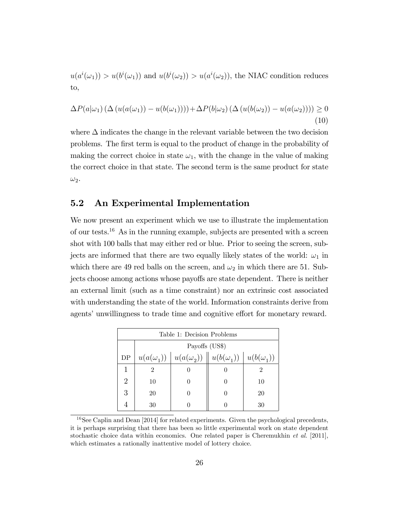$u(a^i(\omega_1)) > u(b^i(\omega_1))$  and  $u(b^i(\omega_2)) > u(a^i(\omega_2))$ , the NIAC condition reduces to,

$$
\Delta P(a|\omega_1) \left( \Delta \left( u(a(\omega_1)) - u(b(\omega_1)) \right) \right) + \Delta P(b|\omega_2) \left( \Delta \left( u(b(\omega_2)) - u(a(\omega_2)) \right) \right) \ge 0
$$
\n(10)

where  $\Delta$  indicates the change in the relevant variable between the two decision problems. The Örst term is equal to the product of change in the probability of making the correct choice in state  $\omega_1$ , with the change in the value of making the correct choice in that state. The second term is the same product for state  $\omega_2$ .

#### 5.2 An Experimental Implementation

We now present an experiment which we use to illustrate the implementation of our tests.<sup>16</sup> As in the running example, subjects are presented with a screen shot with 100 balls that may either red or blue. Prior to seeing the screen, subjects are informed that there are two equally likely states of the world:  $\omega_1$  in which there are 49 red balls on the screen, and  $\omega_2$  in which there are 51. Subjects choose among actions whose payoffs are state dependent. There is neither an external limit (such as a time constraint) nor an extrinsic cost associated with understanding the state of the world. Information constraints derive from agents' unwillingness to trade time and cognitive effort for monetary reward.

|    | Table 1: Decision Problems                                                             |  |  |    |  |
|----|----------------------------------------------------------------------------------------|--|--|----|--|
|    | Payoffs (US\$)                                                                         |  |  |    |  |
| DP | $u(a(\omega_2)) \parallel u(b(\omega_1)) \parallel u(b(\omega_1))$<br>$u(a(\omega_1))$ |  |  |    |  |
|    | 2                                                                                      |  |  |    |  |
| 2  | 10                                                                                     |  |  | 10 |  |
| 3  | 20                                                                                     |  |  | 20 |  |
|    | 30                                                                                     |  |  | 30 |  |

 $16$ See Caplin and Dean [2014] for related experiments. Given the psychological precedents, it is perhaps surprising that there has been so little experimental work on state dependent stochastic choice data within economics. One related paper is Cheremukhin et al. [2011], which estimates a rationally inattentive model of lottery choice.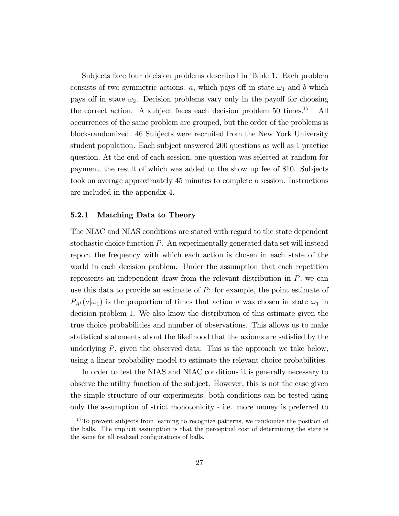Subjects face four decision problems described in Table 1. Each problem consists of two symmetric actions:  $a$ , which pays off in state  $\omega_1$  and b which pays off in state  $\omega_2$ . Decision problems vary only in the payoff for choosing the correct action. A subject faces each decision problem  $50 \text{ times.}^{17}$  All occurrences of the same problem are grouped, but the order of the problems is block-randomized. 46 Subjects were recruited from the New York University student population. Each subject answered 200 questions as well as 1 practice question. At the end of each session, one question was selected at random for payment, the result of which was added to the show up fee of \$10. Subjects took on average approximately 45 minutes to complete a session. Instructions are included in the appendix 4.

#### 5.2.1 Matching Data to Theory

The NIAC and NIAS conditions are stated with regard to the state dependent stochastic choice function P. An experimentally generated data set will instead report the frequency with which each action is chosen in each state of the world in each decision problem. Under the assumption that each repetition represents an independent draw from the relevant distribution in  $P$ , we can use this data to provide an estimate of P: for example, the point estimate of  $P_{A<sup>1</sup>}(a|\omega_1)$  is the proportion of times that action a was chosen in state  $\omega_1$  in decision problem 1. We also know the distribution of this estimate given the true choice probabilities and number of observations. This allows us to make statistical statements about the likelihood that the axioms are satisfied by the underlying  $P$ , given the observed data. This is the approach we take below, using a linear probability model to estimate the relevant choice probabilities.

In order to test the NIAS and NIAC conditions it is generally necessary to observe the utility function of the subject. However, this is not the case given the simple structure of our experiments: both conditions can be tested using only the assumption of strict monotonicity - i.e. more money is preferred to

<sup>&</sup>lt;sup>17</sup>To prevent subjects from learning to recognize patterns, we randomize the position of the balls. The implicit assumption is that the perceptual cost of determining the state is the same for all realized configurations of balls.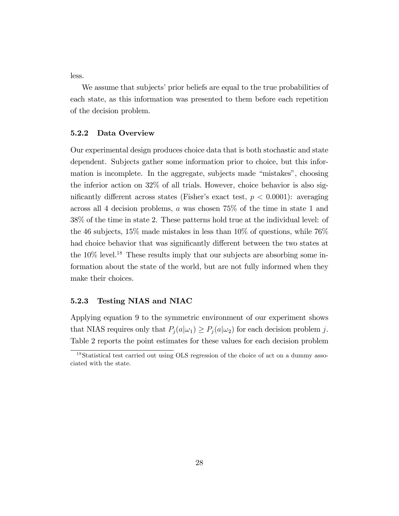less.

We assume that subjects' prior beliefs are equal to the true probabilities of each state, as this information was presented to them before each repetition of the decision problem.

#### 5.2.2 Data Overview

Our experimental design produces choice data that is both stochastic and state dependent. Subjects gather some information prior to choice, but this information is incomplete. In the aggregate, subjects made "mistakes", choosing the inferior action on 32% of all trials. However, choice behavior is also significantly different across states (Fisher's exact test,  $p < 0.0001$ ): averaging across all 4 decision problems, a was chosen 75% of the time in state 1 and 38% of the time in state 2. These patterns hold true at the individual level: of the 46 subjects, 15% made mistakes in less than  $10\%$  of questions, while 76% had choice behavior that was significantly different between the two states at the  $10\%$  level.<sup>18</sup> These results imply that our subjects are absorbing some information about the state of the world, but are not fully informed when they make their choices.

#### 5.2.3 Testing NIAS and NIAC

Applying equation 9 to the symmetric environment of our experiment shows that NIAS requires only that  $P_j(a|\omega_1) \geq P_j(a|\omega_2)$  for each decision problem j. Table 2 reports the point estimates for these values for each decision problem

<sup>&</sup>lt;sup>18</sup>Statistical test carried out using OLS regression of the choice of act on a dummy associated with the state.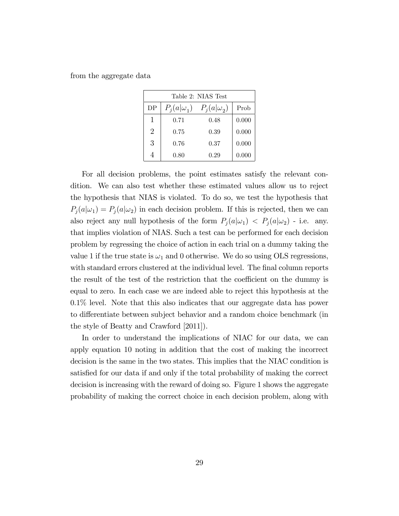from the aggregate data

|                | Table 2: NIAS Test |                   |       |  |
|----------------|--------------------|-------------------|-------|--|
| DP             | $P_i(a \omega_1)$  | $P_i(a \omega_2)$ | Prob  |  |
| 1              | 0.71               | 0.48              | 0.000 |  |
| $\overline{2}$ | 0.75               | 0.39              | 0.000 |  |
| 3              | 0.76               | 0.37              | 0.000 |  |
|                | 0.80               | 0.29              | 0.000 |  |

For all decision problems, the point estimates satisfy the relevant condition. We can also test whether these estimated values allow us to reject the hypothesis that NIAS is violated. To do so, we test the hypothesis that  $P_j(a|\omega_1) = P_j(a|\omega_2)$  in each decision problem. If this is rejected, then we can also reject any null hypothesis of the form  $P_j(a|\omega_1) < P_j(a|\omega_2)$  - i.e. any. that implies violation of NIAS. Such a test can be performed for each decision problem by regressing the choice of action in each trial on a dummy taking the value 1 if the true state is  $\omega_1$  and 0 otherwise. We do so using OLS regressions, with standard errors clustered at the individual level. The final column reports the result of the test of the restriction that the coefficient on the dummy is equal to zero. In each case we are indeed able to reject this hypothesis at the 0.1% level. Note that this also indicates that our aggregate data has power to differentiate between subject behavior and a random choice benchmark (in the style of Beatty and Crawford [2011]).

In order to understand the implications of NIAC for our data, we can apply equation 10 noting in addition that the cost of making the incorrect decision is the same in the two states. This implies that the NIAC condition is satisfied for our data if and only if the total probability of making the correct decision is increasing with the reward of doing so. Figure 1 shows the aggregate probability of making the correct choice in each decision problem, along with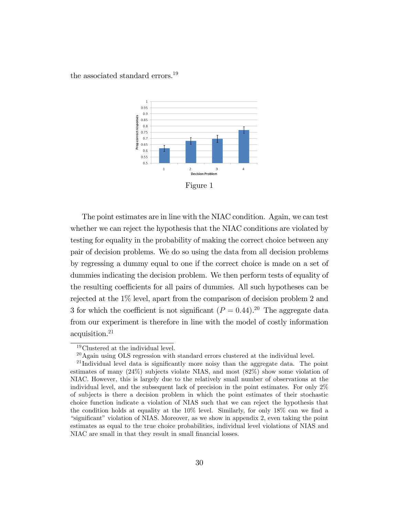the associated standard errors.<sup>19</sup>



Figure 1

The point estimates are in line with the NIAC condition. Again, we can test whether we can reject the hypothesis that the NIAC conditions are violated by testing for equality in the probability of making the correct choice between any pair of decision problems. We do so using the data from all decision problems by regressing a dummy equal to one if the correct choice is made on a set of dummies indicating the decision problem. We then perform tests of equality of the resulting coefficients for all pairs of dummies. All such hypotheses can be rejected at the 1% level, apart from the comparison of decision problem 2 and 3 for which the coefficient is not significant  $(P = 0.44)$ .<sup>20</sup> The aggregate data from our experiment is therefore in line with the model of costly information acquisition.<sup>21</sup>

<sup>19</sup>Clustered at the individual level.

<sup>20</sup>Again using OLS regression with standard errors clustered at the individual level.

<sup>&</sup>lt;sup>21</sup> Individual level data is significantly more noisy than the aggregate data. The point estimates of many (24%) subjects violate NIAS, and most (82%) show some violation of NIAC. However, this is largely due to the relatively small number of observations at the individual level, and the subsequent lack of precision in the point estimates. For only 2% of subjects is there a decision problem in which the point estimates of their stochastic choice function indicate a violation of NIAS such that we can reject the hypothesis that the condition holds at equality at the  $10\%$  level. Similarly, for only  $18\%$  can we find a "significant" violation of NIAS. Moreover, as we show in appendix 2, even taking the point estimates as equal to the true choice probabilities, individual level violations of NIAS and NIAC are small in that they result in small financial losses.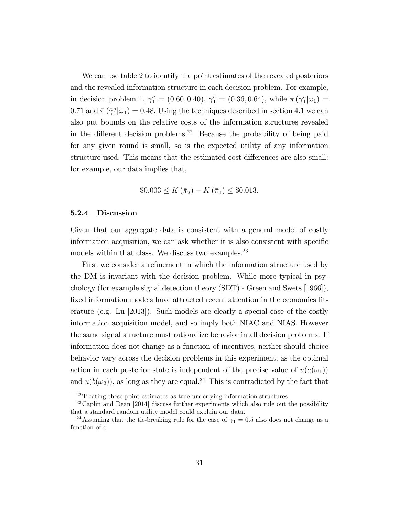We can use table 2 to identify the point estimates of the revealed posteriors and the revealed information structure in each decision problem. For example, in decision problem 1,  $\bar{\gamma}_1^a = (0.60, 0.40), \ \bar{\gamma}_1^b = (0.36, 0.64), \text{ while } \bar{\pi} (\bar{\gamma}_1^a | \omega_1) =$ 0.71 and  $\bar{\pi}(\bar{\gamma}_1^a|\omega_1) = 0.48$ . Using the techniques described in section 4.1 we can also put bounds on the relative costs of the information structures revealed in the different decision problems.<sup>22</sup> Because the probability of being paid for any given round is small, so is the expected utility of any information structure used. This means that the estimated cost differences are also small: for example, our data implies that,

$$
\$0.003 \le K(\bar{\pi}_2) - K(\bar{\pi}_1) \le \$0.013.
$$

#### 5.2.4 Discussion

Given that our aggregate data is consistent with a general model of costly information acquisition, we can ask whether it is also consistent with specific models within that class. We discuss two examples.<sup>23</sup>

First we consider a refinement in which the information structure used by the DM is invariant with the decision problem. While more typical in psychology (for example signal detection theory (SDT) - Green and Swets [1966]), fixed information models have attracted recent attention in the economics literature (e.g. Lu [2013]). Such models are clearly a special case of the costly information acquisition model, and so imply both NIAC and NIAS. However the same signal structure must rationalize behavior in all decision problems. If information does not change as a function of incentives, neither should choice behavior vary across the decision problems in this experiment, as the optimal action in each posterior state is independent of the precise value of  $u(a(\omega_1))$ and  $u(b(\omega_2))$ , as long as they are equal.<sup>24</sup> This is contradicted by the fact that

 $\overline{a^{22}$ Treating these point estimates as true underlying information structures.

 $^{23}$ Caplin and Dean [2014] discuss further experiments which also rule out the possibility that a standard random utility model could explain our data.

<sup>&</sup>lt;sup>24</sup>Assuming that the tie-breaking rule for the case of  $\gamma_1 = 0.5$  also does not change as a function of x.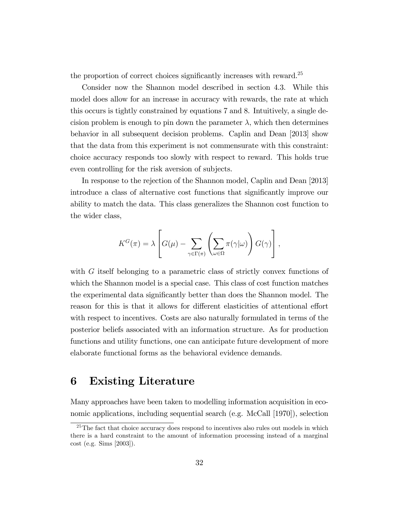the proportion of correct choices significantly increases with reward. $25$ 

Consider now the Shannon model described in section 4.3. While this model does allow for an increase in accuracy with rewards, the rate at which this occurs is tightly constrained by equations 7 and 8. Intuitively, a single decision problem is enough to pin down the parameter  $\lambda$ , which then determines behavior in all subsequent decision problems. Caplin and Dean [2013] show that the data from this experiment is not commensurate with this constraint: choice accuracy responds too slowly with respect to reward. This holds true even controlling for the risk aversion of subjects.

In response to the rejection of the Shannon model, Caplin and Dean [2013] introduce a class of alternative cost functions that significantly improve our ability to match the data. This class generalizes the Shannon cost function to the wider class,

$$
K^{G}(\pi) = \lambda \left[ G(\mu) - \sum_{\gamma \in \Gamma(\pi)} \left( \sum_{\omega \in \Omega} \pi(\gamma | \omega) \right) G(\gamma) \right],
$$

with G itself belonging to a parametric class of strictly convex functions of which the Shannon model is a special case. This class of cost function matches the experimental data significantly better than does the Shannon model. The reason for this is that it allows for different elasticities of attentional effort with respect to incentives. Costs are also naturally formulated in terms of the posterior beliefs associated with an information structure. As for production functions and utility functions, one can anticipate future development of more elaborate functional forms as the behavioral evidence demands.

### 6 Existing Literature

Many approaches have been taken to modelling information acquisition in economic applications, including sequential search (e.g. McCall [1970]), selection

<sup>&</sup>lt;sup>25</sup>The fact that choice accuracy does respond to incentives also rules out models in which there is a hard constraint to the amount of information processing instead of a marginal cost (e.g. Sims [2003]).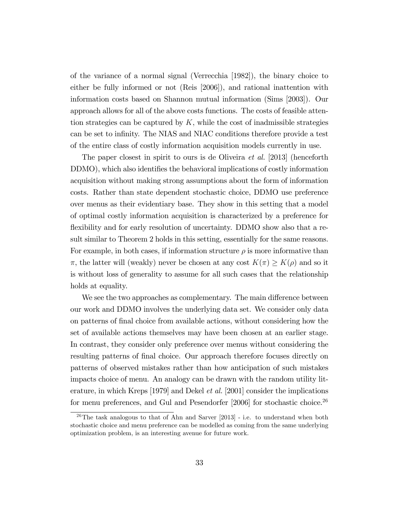of the variance of a normal signal (Verrecchia [1982]), the binary choice to either be fully informed or not (Reis [2006]), and rational inattention with information costs based on Shannon mutual information (Sims [2003]). Our approach allows for all of the above costs functions. The costs of feasible attention strategies can be captured by  $K$ , while the cost of inadmissible strategies can be set to infinity. The NIAS and NIAC conditions therefore provide a test of the entire class of costly information acquisition models currently in use.

The paper closest in spirit to ours is de Oliveira *et al.* [2013] (henceforth DDMO), which also identifies the behavioral implications of costly information acquisition without making strong assumptions about the form of information costs. Rather than state dependent stochastic choice, DDMO use preference over menus as their evidentiary base. They show in this setting that a model of optimal costly information acquisition is characterized by a preference for flexibility and for early resolution of uncertainty. DDMO show also that a result similar to Theorem 2 holds in this setting, essentially for the same reasons. For example, in both cases, if information structure  $\rho$  is more informative than  $\pi$ , the latter will (weakly) never be chosen at any cost  $K(\pi) \geq K(\rho)$  and so it is without loss of generality to assume for all such cases that the relationship holds at equality.

We see the two approaches as complementary. The main difference between our work and DDMO involves the underlying data set. We consider only data on patterns of Önal choice from available actions, without considering how the set of available actions themselves may have been chosen at an earlier stage. In contrast, they consider only preference over menus without considering the resulting patterns of final choice. Our approach therefore focuses directly on patterns of observed mistakes rather than how anticipation of such mistakes impacts choice of menu. An analogy can be drawn with the random utility literature, in which Kreps [1979] and Dekel et al. [2001] consider the implications for menu preferences, and Gul and Pesendorfer  $[2006]$  for stochastic choice.<sup>26</sup>

<sup>26</sup>The task analogous to that of Ahn and Sarver [2013] - i.e. to understand when both stochastic choice and menu preference can be modelled as coming from the same underlying optimization problem, is an interesting avenue for future work.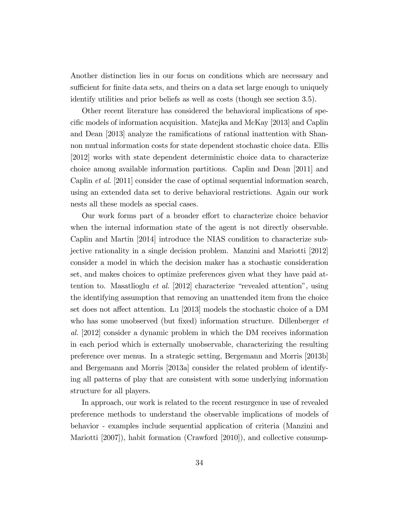Another distinction lies in our focus on conditions which are necessary and sufficient for finite data sets, and theirs on a data set large enough to uniquely identify utilities and prior beliefs as well as costs (though see section 3.5).

Other recent literature has considered the behavioral implications of specific models of information acquisition. Matejka and McKay [2013] and Caplin and Dean [2013] analyze the ramifications of rational inattention with Shannon mutual information costs for state dependent stochastic choice data. Ellis [2012] works with state dependent deterministic choice data to characterize choice among available information partitions. Caplin and Dean [2011] and Caplin et al. [2011] consider the case of optimal sequential information search, using an extended data set to derive behavioral restrictions. Again our work nests all these models as special cases.

Our work forms part of a broader effort to characterize choice behavior when the internal information state of the agent is not directly observable. Caplin and Martin [2014] introduce the NIAS condition to characterize subjective rationality in a single decision problem. Manzini and Mariotti [2012] consider a model in which the decision maker has a stochastic consideration set, and makes choices to optimize preferences given what they have paid attention to. Masatlioglu *et al.* [2012] characterize "revealed attention", using the identifying assumption that removing an unattended item from the choice set does not affect attention. Lu [2013] models the stochastic choice of a DM who has some unobserved (but fixed) information structure. Dillenberger  $et$ al. [2012] consider a dynamic problem in which the DM receives information in each period which is externally unobservable, characterizing the resulting preference over menus. In a strategic setting, Bergemann and Morris [2013b] and Bergemann and Morris [2013a] consider the related problem of identifying all patterns of play that are consistent with some underlying information structure for all players.

In approach, our work is related to the recent resurgence in use of revealed preference methods to understand the observable implications of models of behavior - examples include sequential application of criteria (Manzini and Mariotti [2007]), habit formation (Crawford [2010]), and collective consump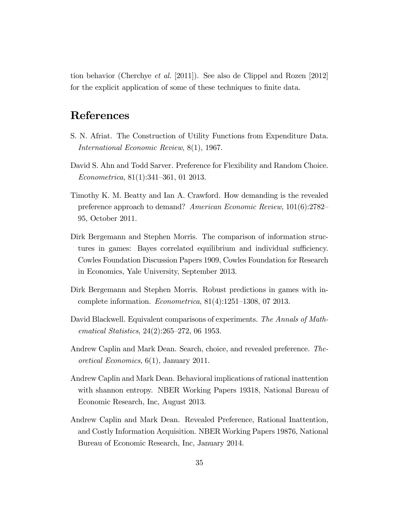tion behavior (Cherchye et al. [2011]). See also de Clippel and Rozen [2012] for the explicit application of some of these techniques to finite data.

## References

- S. N. Afriat. The Construction of Utility Functions from Expenditure Data. International Economic Review, 8(1), 1967.
- David S. Ahn and Todd Sarver. Preference for Flexibility and Random Choice.  $Econometrica, 81(1):341-361, 01 2013.$
- Timothy K. M. Beatty and Ian A. Crawford. How demanding is the revealed preference approach to demand? American Economic Review,  $101(6):2782-$ 95, October 2011.
- Dirk Bergemann and Stephen Morris. The comparison of information structures in games: Bayes correlated equilibrium and individual sufficiency. Cowles Foundation Discussion Papers 1909, Cowles Foundation for Research in Economics, Yale University, September 2013.
- Dirk Bergemann and Stephen Morris. Robust predictions in games with incomplete information. *Econometrica*,  $81(4):1251-1308$ , 07 2013.
- David Blackwell. Equivalent comparisons of experiments. The Annals of Mathematical Statistics,  $24(2):265-272$ , 06 1953.
- Andrew Caplin and Mark Dean. Search, choice, and revealed preference. Theoretical Economics, 6(1), January 2011.
- Andrew Caplin and Mark Dean. Behavioral implications of rational inattention with shannon entropy. NBER Working Papers 19318, National Bureau of Economic Research, Inc, August 2013.
- Andrew Caplin and Mark Dean. Revealed Preference, Rational Inattention, and Costly Information Acquisition. NBER Working Papers 19876, National Bureau of Economic Research, Inc, January 2014.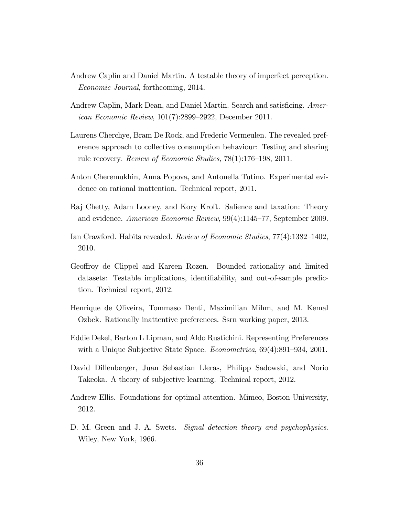- Andrew Caplin and Daniel Martin. A testable theory of imperfect perception. Economic Journal, forthcoming, 2014.
- Andrew Caplin, Mark Dean, and Daniel Martin. Search and satisficing. American Economic Review,  $101(7)$ :2899–2922, December 2011.
- Laurens Cherchye, Bram De Rock, and Frederic Vermeulen. The revealed preference approach to collective consumption behaviour: Testing and sharing rule recovery. Review of Economic Studies,  $78(1):176-198$ , 2011.
- Anton Cheremukhin, Anna Popova, and Antonella Tutino. Experimental evidence on rational inattention. Technical report, 2011.
- Raj Chetty, Adam Looney, and Kory Kroft. Salience and taxation: Theory and evidence. American Economic Review,  $99(4):1145-77$ , September 2009.
- Ian Crawford. Habits revealed. Review of Economic Studies,  $77(4)$ :1382-1402, 2010.
- Geoffroy de Clippel and Kareen Rozen. Bounded rationality and limited datasets: Testable implications, identifiability, and out-of-sample prediction. Technical report, 2012.
- Henrique de Oliveira, Tommaso Denti, Maximilian Mihm, and M. Kemal Ozbek. Rationally inattentive preferences. Ssrn working paper, 2013.
- Eddie Dekel, Barton L Lipman, and Aldo Rustichini. Representing Preferences with a Unique Subjective State Space. *Econometrica*,  $69(4):891-934, 2001$ .
- David Dillenberger, Juan Sebastian Lleras, Philipp Sadowski, and Norio Takeoka. A theory of subjective learning. Technical report, 2012.
- Andrew Ellis. Foundations for optimal attention. Mimeo, Boston University, 2012.
- D. M. Green and J. A. Swets. *Signal detection theory and psychophysics*. Wiley, New York, 1966.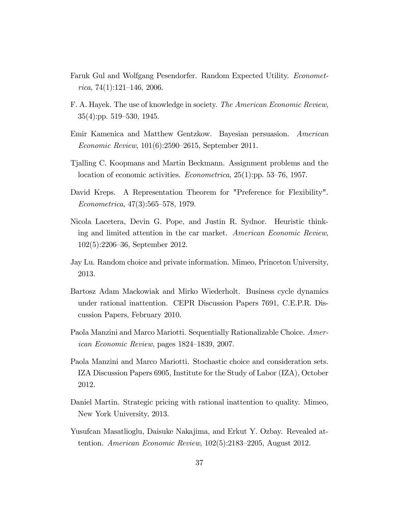- Faruk Gul and Wolfgang Pesendorfer. Random Expected Utility. Economet $rica, 74(1):121–146, 2006.$
- F. A. Hayek. The use of knowledge in society. The American Economic Review,  $35(4):pp. 519-530, 1945.$
- Emir Kamenica and Matthew Gentzkow. Bayesian persuasion. American Economic Review,  $101(6):2590-2615$ , September 2011.
- Tjalling C. Koopmans and Martin Beckmann. Assignment problems and the location of economic activities. *Econometrica*,  $25(1)$ :pp. 53–76, 1957.
- David Kreps. A Representation Theorem for "Preference for Flexibility".  $Econometrica, 47(3):565-578, 1979.$
- Nicola Lacetera, Devin G. Pope, and Justin R. Sydnor. Heuristic thinking and limited attention in the car market. American Economic Review,  $102(5):2206-36$ , September 2012.
- Jay Lu. Random choice and private information. Mimeo, Princeton University, 2013.
- Bartosz Adam Mackowiak and Mirko Wiederholt. Business cycle dynamics under rational inattention. CEPR Discussion Papers 7691, C.E.P.R. Discussion Papers, February 2010.
- Paola Manzini and Marco Mariotti. Sequentially Rationalizable Choice. American Economic Review, pages  $1824-1839$ , 2007.
- Paola Manzini and Marco Mariotti. Stochastic choice and consideration sets. IZA Discussion Papers 6905, Institute for the Study of Labor (IZA), October 2012.
- Daniel Martin. Strategic pricing with rational inattention to quality. Mimeo, New York University, 2013.
- Yusufcan Masatlioglu, Daisuke Nakajima, and Erkut Y. Ozbay. Revealed attention. American Economic Review,  $102(5):2183-2205$ , August 2012.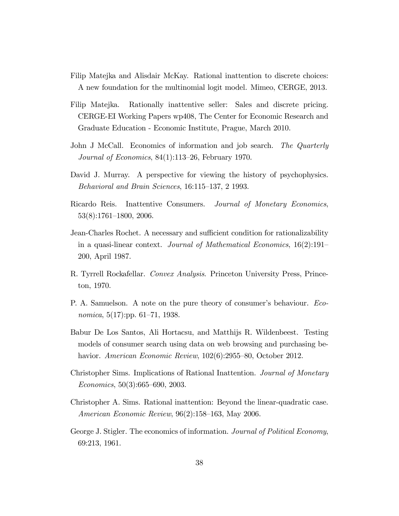- Filip Matejka and Alisdair McKay. Rational inattention to discrete choices: A new foundation for the multinomial logit model. Mimeo, CERGE, 2013.
- Filip Matejka. Rationally inattentive seller: Sales and discrete pricing. CERGE-EI Working Papers wp408, The Center for Economic Research and Graduate Education - Economic Institute, Prague, March 2010.
- John J McCall. Economics of information and job search. The Quarterly Journal of Economics,  $84(1):113-26$ , February 1970.
- David J. Murray. A perspective for viewing the history of psychophysics. Behavioral and Brain Sciences,  $16:115-137$ , 2 1993.
- Ricardo Reis. Inattentive Consumers. Journal of Monetary Economics,  $53(8):1761-1800, 2006.$
- Jean-Charles Rochet. A necessary and sufficient condition for rationalizability in a quasi-linear context. Journal of Mathematical Economics,  $16(2):191-$ 200, April 1987.
- R. Tyrrell Rockafellar. *Convex Analysis*. Princeton University Press, Princeton, 1970.
- P. A. Samuelson. A note on the pure theory of consumer's behaviour. Economica,  $5(17)$ :pp.  $61-71$ , 1938.
- Babur De Los Santos, Ali Hortacsu, and Matthijs R. Wildenbeest. Testing models of consumer search using data on web browsing and purchasing behavior. American Economic Review,  $102(6):2955-80$ , October 2012.
- Christopher Sims. Implications of Rational Inattention. Journal of Monetary  $Economics, 50(3):665–690, 2003.$
- Christopher A. Sims. Rational inattention: Beyond the linear-quadratic case. American Economic Review,  $96(2):158-163$ , May 2006.
- George J. Stigler. The economics of information. *Journal of Political Economy*, 69:213, 1961.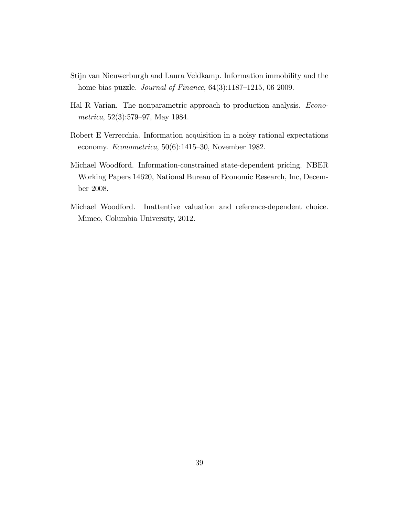- Stijn van Nieuwerburgh and Laura Veldkamp. Information immobility and the home bias puzzle. *Journal of Finance*,  $64(3):1187-1215$ , 06 2009.
- Hal R Varian. The nonparametric approach to production analysis. Econometrica,  $52(3):579-97$ , May 1984.
- Robert E Verrecchia. Information acquisition in a noisy rational expectations economy. Econometrica,  $50(6)$ :1415-30, November 1982.
- Michael Woodford. Information-constrained state-dependent pricing. NBER Working Papers 14620, National Bureau of Economic Research, Inc, December 2008.
- Michael Woodford. Inattentive valuation and reference-dependent choice. Mimeo, Columbia University, 2012.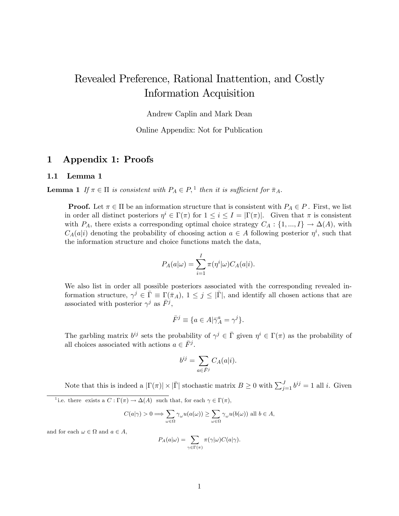## Revealed Preference, Rational Inattention, and Costly Information Acquisition

Andrew Caplin and Mark Dean

Online Appendix: Not for Publication

#### 1 Appendix 1: Proofs

#### 1.1 Lemma 1

**Lemma 1** If  $\pi \in \Pi$  is consistent with  $P_A \in P$ , <sup>1</sup> then it is sufficient for  $\bar{\pi}_A$ .

**Proof.** Let  $\pi \in \Pi$  be an information structure that is consistent with  $P_A \in P$ . First, we list in order all distinct posteriors  $\eta^i \in \Gamma(\pi)$  for  $1 \leq i \leq I = |\Gamma(\pi)|$ . Given that  $\pi$  is consistent with  $P_A$ , there exists a corresponding optimal choice strategy  $C_A$ :  $\{1, ..., I\} \rightarrow \Delta(A)$ , with  $C_A(a|i)$  denoting the probability of choosing action  $a \in A$  following posterior  $\eta^i$ , such that the information structure and choice functions match the data,

$$
P_A(a|\omega) = \sum_{i=1}^I \pi(\eta^i|\omega) C_A(a|i).
$$

We also list in order all possible posteriors associated with the corresponding revealed information structure,  $\gamma^j \in \overline{\Gamma} \equiv \Gamma(\overline{\pi}_A)$ ,  $1 \leq j \leq |\overline{\Gamma}|$ , and identify all chosen actions that are associated with posterior  $\gamma^j$  as  $\bar{F}^j$ ,

$$
\bar{F}^j \equiv \{ a \in A | \bar{\gamma}_A^a = \gamma^j \}.
$$

The garbling matrix  $b^{ij}$  sets the probability of  $\gamma^j \in \overline{\Gamma}$  given  $\eta^i \in \Gamma(\pi)$  as the probability of all choices associated with actions  $a \in \overline{F}^j$ .

$$
b^{ij} = \sum_{a \in \bar{F}^j} C_A(a|i).
$$

Note that this is indeed a  $|\Gamma(\pi)| \times |\bar{\Gamma}|$  stochastic matrix  $B \ge 0$  with  $\sum_{j=1}^{J} b^{ij} = 1$  all *i*. Given

<sup>1</sup> i.e. there exists a  $C: \Gamma(\pi) \to \Delta(A)$  such that, for each  $\gamma \in \Gamma(\pi)$ ,

$$
C(a|\gamma) > 0 \Longrightarrow \sum_{\omega \in \Omega} \gamma_{\omega} u(a(\omega)) \ge \sum_{\omega \in \Omega} \gamma_{\omega} u(b(\omega)) \text{ all } b \in A,
$$

and for each  $\omega \in \Omega$  and  $a \in A$ ,

$$
P_A(a|\omega) = \sum_{\gamma \in \Gamma(\pi)} \pi(\gamma|\omega) C(a|\gamma).
$$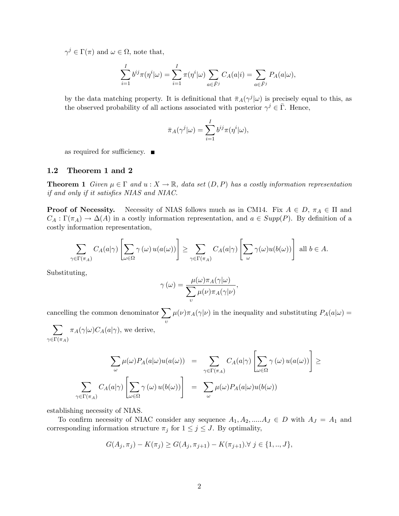$\gamma^j \in \Gamma(\pi)$  and  $\omega \in \Omega$ , note that,

$$
\sum_{i=1}^{I} b^{ij} \pi(\eta^i | \omega) = \sum_{i=1}^{I} \pi(\eta^i | \omega) \sum_{a \in \overline{F}^j} C_A(a | i) = \sum_{a \in \overline{F}^j} P_A(a | \omega),
$$

by the data matching property. It is definitional that  $\bar{\pi}_A(\gamma^j|\omega)$  is precisely equal to this, as the observed probability of all actions associated with posterior  $\gamma^j \in \overline{\Gamma}$ . Hence,

$$
\bar{\pi}_A(\gamma^j|\omega) = \sum_{i=1}^I b^{ij} \pi(\eta^i|\omega),
$$

as required for sufficiency.  $\blacksquare$ 

#### 1.2 Theorem 1 and 2

**Theorem 1** Given  $\mu \in \Gamma$  and  $u : X \to \mathbb{R}$ , data set  $(D, P)$  has a costly information representation if and only if it satisfies NIAS and NIAC.

**Proof of Necessity.** Necessity of NIAS follows much as in CM14. Fix  $A \in D$ ,  $\pi_A \in \Pi$  and  $C_A: \Gamma(\pi_A) \to \Delta(A)$  in a costly information representation, and  $a \in Supp(P)$ . By definition of a costly information representation,

$$
\sum_{\gamma \in \Gamma(\pi_A)} C_A(a|\gamma) \left[ \sum_{\omega \in \Omega} \gamma(\omega) u(a(\omega)) \right] \geq \sum_{\gamma \in \Gamma(\pi_A)} C_A(a|\gamma) \left[ \sum_{\omega} \gamma(\omega) u(b(\omega)) \right] \text{ all } b \in A.
$$

Substituting,

$$
\gamma(\omega) = \frac{\mu(\omega)\pi_A(\gamma|\omega)}{\sum_{v}\mu(\nu)\pi_A(\gamma|\nu)},
$$

cancelling the common denominator  $\sum$  $\upsilon$  $\mu(\nu)\pi_A(\gamma|\nu)$  in the inequality and substituting  $P_A(a|\omega) =$  $\sum$  $\pi_A(\gamma|\omega)C_A(a|\gamma)$ , we derive,

 $\gamma{\in}\Gamma(\pi_A)$ 

$$
\sum_{\omega} \mu(\omega) P_A(a|\omega) u(a(\omega)) = \sum_{\gamma \in \Gamma(\pi_A)} C_A(a|\gamma) \left[ \sum_{\omega \in \Omega} \gamma(\omega) u(a(\omega)) \right] \ge
$$
  

$$
\sum_{\gamma \in \Gamma(\pi_A)} C_A(a|\gamma) \left[ \sum_{\omega \in \Omega} \gamma(\omega) u(b(\omega)) \right] = \sum_{\omega} \mu(\omega) P_A(a|\omega) u(b(\omega))
$$

establishing necessity of NIAS.

To confirm necessity of NIAC consider any sequence  $A_1, A_2, \dots, A_J \in D$  with  $A_J = A_1$  and corresponding information structure  $\pi_j$  for  $1 \leq j \leq J$ . By optimality,

$$
G(A_j, \pi_j) - K(\pi_j) \ge G(A_j, \pi_{j+1}) - K(\pi_{j+1}). \forall j \in \{1, ..., J\},\
$$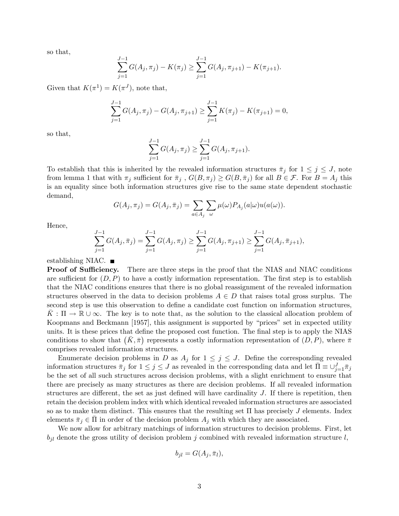so that,

$$
\sum_{j=1}^{J-1} G(A_j, \pi_j) - K(\pi_j) \ge \sum_{j=1}^{J-1} G(A_j, \pi_{j+1}) - K(\pi_{j+1}).
$$

Given that  $K(\pi^1) = K(\pi^J)$ , note that,

$$
\sum_{j=1}^{J-1} G(A_j, \pi_j) - G(A_j, \pi_{j+1}) \ge \sum_{j=1}^{J-1} K(\pi_j) - K(\pi_{j+1}) = 0,
$$

so that,

$$
\sum_{j=1}^{J-1} G(A_j, \pi_j) \ge \sum_{j=1}^{J-1} G(A_j, \pi_{j+1}).
$$

To establish that this is inherited by the revealed information structures  $\bar{\pi}_j$  for  $1 \leq j \leq J$ , note from lemma 1 that with  $\pi_j$  sufficient for  $\bar{\pi}_j$ ,  $G(B, \pi_j) \geq G(B, \bar{\pi}_j)$  for all  $B \in \mathcal{F}$ . For  $B = A_j$  this is an equality since both information structures give rise to the same state dependent stochastic demand,

$$
G(A_j, \pi_j) = G(A_j, \bar{\pi}_j) = \sum_{a \in A_j} \sum_{\omega} \mu(\omega) P_{A_j}(a|\omega) u(a(\omega)).
$$

Hence,

$$
\sum_{j=1}^{J-1} G(A_j, \bar{\pi}_j) = \sum_{j=1}^{J-1} G(A_j, \pi_j) \ge \sum_{j=1}^{J-1} G(A_j, \pi_{j+1}) \ge \sum_{j=1}^{J-1} G(A_j, \bar{\pi}_{j+1}),
$$

establishing NIAC.  $\blacksquare$ 

**Proof of Sufficiency.** There are three steps in the proof that the NIAS and NIAC conditions are sufficient for  $(D, P)$  to have a costly information representation. The first step is to establish that the NIAC conditions ensures that there is no global reassignment of the revealed information structures observed in the data to decision problems  $A \in D$  that raises total gross surplus. The second step is use this observation to define a candidate cost function on information structures,  $K : \Pi \to \mathbb{R} \cup \infty$ . The key is to note that, as the solution to the classical allocation problem of Koopmans and Beckmann [1957], this assignment is supported by "prices" set in expected utility units. It is these prices that define the proposed cost function. The final step is to apply the NIAS conditions to show that  $(K, \bar{\pi})$  represents a costly information representation of  $(D, P)$ , where  $\bar{\pi}$ comprises revealed information structures.

Enumerate decision problems in D as  $A_j$  for  $1 \leq j \leq J$ . Define the corresponding revealed information structures  $\bar{\pi}_j$  for  $1 \le j \le J$  as revealed in the corresponding data and let  $\bar{\Pi} \equiv \cup_{j=1}^J \bar{\pi}_j$ be the set of all such structures across decision problems, with a slight enrichment to ensure that there are precisely as many structures as there are decision problems. If all revealed information structures are different, the set as just defined will have cardinality  $J$ . If there is repetition, then retain the decision problem index with which identical revealed information structures are associated so as to make them distinct. This ensures that the resulting set  $\Pi$  has precisely  $J$  elements. Index elements  $\bar{\pi}_j \in \Pi$  in order of the decision problem  $A_j$  with which they are associated.

We now allow for arbitrary matchings of information structures to decision problems. First, let  $b_{jl}$  denote the gross utility of decision problem j combined with revealed information structure l,

$$
b_{jl} = G(A_j, \bar{\pi}_l),
$$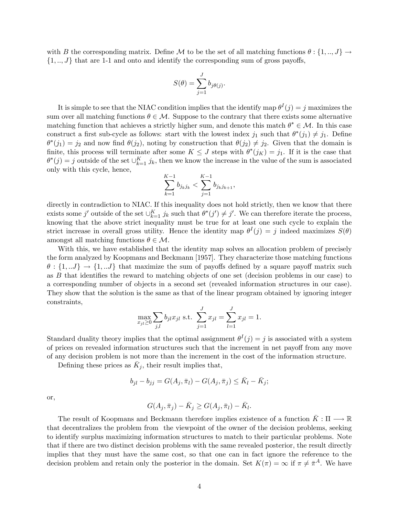with B the corresponding matrix. Define M to be the set of all matching functions  $\theta: \{1, ..., J\} \rightarrow$  $\{1, ..., J\}$  that are 1-1 and onto and identify the corresponding sum of gross payoffs,

$$
S(\theta) = \sum_{j=1}^{J} b_{j\theta(j)}.
$$

It is simple to see that the NIAC condition implies that the identify map  $\theta^I(j) = j$  maximizes the sum over all matching functions  $\theta \in \mathcal{M}$ . Suppose to the contrary that there exists some alternative matching function that achieves a strictly higher sum, and denote this match  $\theta^* \in \mathcal{M}$ . In this case construct a first sub-cycle as follows: start with the lowest index  $j_1$  such that  $\theta^*(j_1) \neq j_1$ . Define  $\theta^*(j_1) = j_2$  and now find  $\theta(j_2)$ , noting by construction that  $\theta(j_2) \neq j_2$ . Given that the domain is finite, this process will terminate after some  $K \leq J$  steps with  $\theta^*(j_K) = j_1$ . If it is the case that  $\theta^*(j) = j$  outside of the set  $\cup_{k=1}^K j_k$ , then we know the increase in the value of the sum is associated only with this cycle, hence,

$$
\sum_{k=1}^{K-1} b_{j_k j_k} < \sum_{j=1}^{K-1} b_{j_k j_{k+1}},
$$

directly in contradiction to NIAC. If this inequality does not hold strictly, then we know that there exists some j' outside of the set  $\bigcup_{k=1}^K j_k$  such that  $\theta^*(j') \neq j'$ . We can therefore iterate the process, knowing that the above strict inequality must be true for at least one such cycle to explain the strict increase in overall gross utility. Hence the identity map  $\theta^I(j) = j$  indeed maximizes  $S(\theta)$ amongst all matching functions  $\theta \in \mathcal{M}$ .

With this, we have established that the identity map solves an allocation problem of precisely the form analyzed by Koopmans and Beckmann [1957]. They characterize those matching functions  $\theta: \{1,..J\} \rightarrow \{1,..J\}$  that maximize the sum of payoffs defined by a square payoff matrix such as  $B$  that identifies the reward to matching objects of one set (decision problems in our case) to a corresponding number of objects in a second set (revealed information structures in our case). They show that the solution is the same as that of the linear program obtained by ignoring integer constraints,

$$
\max_{x_{jl} \ge 0} \sum_{j,l} b_{jl} x_{jl} \text{ s.t. } \sum_{j=1}^{J} x_{jl} = \sum_{l=1}^{J} x_{jl} = 1.
$$

Standard duality theory implies that the optimal assignment  $\theta^I(j) = j$  is associated with a system of prices on revealed information structures such that the increment in net payoff from any move of any decision problem is not more than the increment in the cost of the information structure.

Defining these prices as  $\bar{K}_j$ , their result implies that,

$$
b_{jl} - b_{jj} = G(A_j, \bar{\pi}_l) - G(A_j, \bar{\pi}_j) \le \bar{K}_l - \bar{K}_j;
$$

or,

$$
G(A_j, \bar{\pi}_j) - \bar{K}_j \ge G(A_j, \bar{\pi}_l) - \bar{K}_l.
$$

The result of Koopmans and Beckmann therefore implies existence of a function  $\bar{K}: \Pi \longrightarrow \mathbb{R}$ that decentralizes the problem from the viewpoint of the owner of the decision problems, seeking to identify surplus maximizing information structures to match to their particular problems. Note that if there are two distinct decision problems with the same revealed posterior, the result directly implies that they must have the same cost, so that one can in fact ignore the reference to the decision problem and retain only the posterior in the domain. Set  $K(\pi) = \infty$  if  $\pi \neq \bar{\pi}^A$ . We have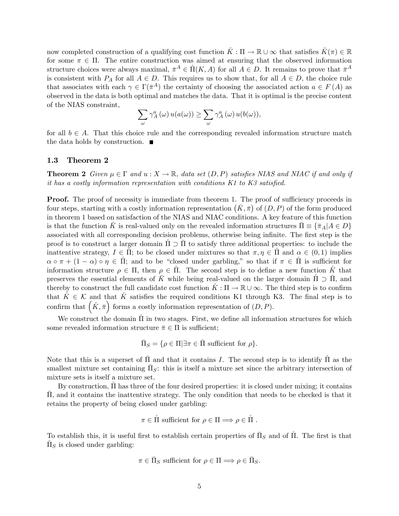now completed construction of a qualifying cost function  $\bar{K} : \Pi \to \mathbb{R} \cup \infty$  that satisfies  $\bar{K}(\pi) \in \mathbb{R}$ for some  $\pi \in \Pi$ . The entire construction was aimed at ensuring that the observed information structure choices were always maximal,  $\bar{\pi}^A \in \hat{\Pi}(K, A)$  for all  $A \in D$ . It remains to prove that  $\bar{\pi}^A$ is consistent with  $P_A$  for all  $A \in D$ . This requires us to show that, for all  $A \in D$ , the choice rule that associates with each  $\gamma \in \Gamma(\bar{\pi}^A)$  the certainty of choosing the associated action  $a \in F(A)$  as observed in the data is both optimal and matches the data. That it is optimal is the precise content of the NIAS constraint,

$$
\sum_{\omega}\gamma_A^a\left(\omega\right)u(a(\omega))\geq\sum_{\omega}\gamma_A^a\left(\omega\right)u(b(\omega)),
$$

for all  $b \in A$ . That this choice rule and the corresponding revealed information structure match the data holds by construction.  $\blacksquare$ 

#### 1.3 Theorem 2

**Theorem 2** Given  $\mu \in \Gamma$  and  $u : X \to \mathbb{R}$ , data set  $(D, P)$  satisfies NIAS and NIAC if and only if it has a costly information representation with conditions  $K1$  to  $K3$  satisfied.

**Proof.** The proof of necessity is immediate from theorem 1. The proof of sufficiency proceeds in four steps, starting with a costly information representation  $(\bar{K}, \bar{\pi})$  of  $(D, P)$  of the form produced in theorem 1 based on satisfaction of the NIAS and NIAC conditions. A key feature of this function is that the function K is real-valued only on the revealed information structures  $\bar{\Pi} \equiv {\{\bar{\pi}_A | A \in D\}}$ associated with all corresponding decision problems, otherwise being infinite. The first step is the proof is to construct a larger domain  $\tilde{\Pi} \supset \overline{\Pi}$  to satisfy three additional properties: to include the inattentive strategy,  $I \in \Pi$ ; to be closed under mixtures so that  $\pi, \eta \in \Pi$  and  $\alpha \in (0,1)$  implies  $\alpha \circ \pi + (1 - \alpha) \circ \eta \in \Pi$ ; and to be "closed under garbling," so that if  $\pi \in \Pi$  is sufficient for information structure  $\rho \in \Pi$ , then  $\rho \in \Pi$ . The second step is to define a new function K that preserves the essential elements of K while being real-valued on the larger domain  $\Pi \supset \Pi$ , and thereby to construct the full candidate cost function  $K : \Pi \to \mathbb{R} \cup \infty$ . The third step is to confirm that  $\tilde{K} \in \mathcal{K}$  and that  $\tilde{K}$  satisfies the required conditions K1 through K3. The final step is to confirm that  $(\mathring{K}, \bar{\pi})$  forms a costly information representation of  $(D, P)$ .

We construct the domain  $\hat{\Pi}$  in two stages. First, we define all information structures for which some revealed information structure  $\bar{\pi} \in \Pi$  is sufficient;

$$
\bar{\Pi}_S = \{ \rho \in \Pi | \exists \pi \in \bar{\Pi} \text{ sufficient for } \rho \}.
$$

Note that this is a superset of  $\Pi$  and that it contains I. The second step is to identify  $\Pi$  as the smallest mixture set containing  $\bar{\Pi}_S$ : this is itself a mixture set since the arbitrary intersection of mixture sets is itself a mixture set.

By construction,  $\Pi$  has three of the four desired properties: it is closed under mixing; it contains , and it contains the inattentive strategy. The only condition that needs to be checked is that it retains the property of being closed under garbling:

$$
\pi \in \mathring{\Pi}
$$
 sufficient for  $\rho \in \Pi \Longrightarrow \rho \in \mathring{\Pi}$ .

To establish this, it is useful first to establish certain properties of  $\bar{\Pi}_S$  and of  $\hat{\Pi}$ . The first is that  $\bar{\Pi}_S$  is closed under garbling:

$$
\pi \in \bar{\Pi}_S \text{ sufficient for } \rho \in \Pi \Longrightarrow \rho \in \bar{\Pi}_S.
$$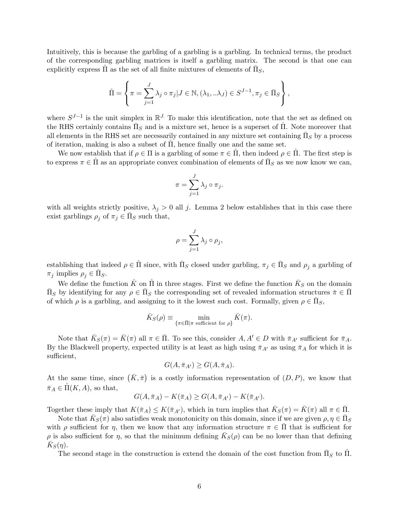Intuitively, this is because the garbling of a garbling is a garbling. In technical terms, the product of the corresponding garbling matrices is itself a garbling matrix. The second is that one can explicitly express  $\mathring{\Pi}$  as the set of all finite mixtures of elements of  $\bar{\Pi}_S$ ,

$$
\mathring{\Pi} = \left\{ \pi = \sum_{j=1}^{J} \lambda_j \circ \pi_j | J \in \mathbb{N}, (\lambda_1, \ldots \lambda_J) \in S^{J-1}, \pi_j \in \overline{\Pi}_S \right\},\
$$

where  $S^{J-1}$  is the unit simplex in  $\mathbb{R}^J$ . To make this identification, note that the set as defined on the RHS certainly contains  $\bar{\Pi}_S$  and is a mixture set, hence is a superset of  $\hat{\Pi}$ . Note moreover that all elements in the RHS set are necessarily contained in any mixture set containing  $\bar{\Pi}_S$  by a process of iteration, making is also a subset of  $\Pi$ , hence finally one and the same set.

We now establish that if  $\rho \in \Pi$  is a garbling of some  $\pi \in \Pi$ , then indeed  $\rho \in \Pi$ . The first step is to express  $\pi \in \mathring{\Pi}$  as an appropriate convex combination of elements of  $\bar{\Pi}_S$  as we now know we can,

$$
\pi = \sum_{j=1}^{J} \lambda_j \circ \pi_j.
$$

with all weights strictly positive,  $\lambda_j > 0$  all j. Lemma 2 below establishes that in this case there exist garblings  $\rho_j$  of  $\pi_j \in \bar{\Pi}_S$  such that,

$$
\rho = \sum_{j=1}^{J} \lambda_j \circ \rho_j,
$$

establishing that indeed  $\rho \in \mathring{\Pi}$  since, with  $\bar{\Pi}_S$  closed under garbling,  $\pi_j \in \bar{\Pi}_S$  and  $\rho_j$  a garbling of  $\pi_j$  implies  $\rho_j \in \bar{\Pi}_S$ .

We define the function  $\mathring{K}$  on  $\mathring{\Pi}$  in three stages. First we define the function  $\bar{K}_S$  on the domain  $\bar{\Pi}_S$  by identifying for any  $\rho \in \bar{\Pi}_S$  the corresponding set of revealed information structures  $\bar{\pi} \in \bar{\Pi}$ of which  $\rho$  is a garbling, and assigning to it the lowest such cost. Formally, given  $\rho \in \overline{\Pi}_S$ ,

$$
\bar{K}_S(\rho) \equiv \min_{\{\pi \in \bar{\Pi} | \pi \text{ sufficient for } \rho\}} \bar{K}(\pi).
$$

Note that  $\bar{K}_S(\pi) = \bar{K}(\pi)$  all  $\pi \in \bar{\Pi}$ . To see this, consider  $A, A' \in D$  with  $\bar{\pi}_{A'}$  sufficient for  $\bar{\pi}_A$ . By the Blackwell property, expected utility is at least as high using  $\bar{\pi}_{A'}$  as using  $\bar{\pi}_A$  for which it is sufficient,

$$
G(A, \bar{\pi}_{A'}) \ge G(A, \bar{\pi}_A).
$$

At the same time, since  $(\bar{K}, \bar{\pi})$  is a costly information representation of  $(D, P)$ , we know that  $\bar{\pi}_A \in \Pi(K, A)$ , so that,

$$
G(A,\overline{\pi}_A) - K(\overline{\pi}_A) \ge G(A,\overline{\pi}_{A'}) - K(\overline{\pi}_{A'}).
$$

Together these imply that  $K(\bar{\pi}_A) \leq K(\bar{\pi}_{A'})$ , which in turn implies that  $\bar{K}_S(\pi) = \bar{K}(\pi)$  all  $\pi \in \bar{\Pi}$ .

Note that  $\bar{K}_S(\pi)$  also satisfies weak monotonicity on this domain, since if we are given  $\rho, \eta \in \bar{\Pi}_S$ with  $\rho$  sufficient for  $\eta$ , then we know that any information structure  $\pi \in \overline{\Pi}$  that is sufficient for  $\rho$  is also sufficient for  $\eta$ , so that the minimum defining  $\bar{K}_S(\rho)$  can be no lower than that defining  $\bar{K}_S(\eta)$ .

The second stage in the construction is extend the domain of the cost function from  $\bar{\Pi}_S$  to  $\hat{\Pi}$ .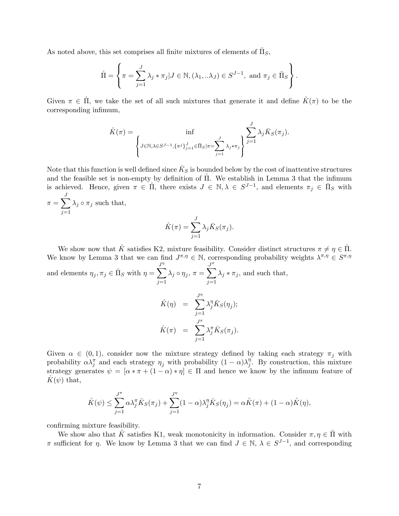As noted above, this set comprises all finite mixtures of elements of  $\bar{\Pi}_S$ ,

$$
\mathring{\Pi} = \left\{ \pi = \sum_{j=1}^{J} \lambda_j * \pi_j | J \in \mathbb{N}, (\lambda_1, \ldots \lambda_J) \in S^{J-1}, \text{ and } \pi_j \in \overline{\Pi}_S \right\}.
$$

Given  $\pi \in \Pi$ , we take the set of all such mixtures that generate it and define  $\mathring{K}(\pi)$  to be the corresponding infimum,

$$
\hat{K}(\pi) = \inf_{\left\{J \in \mathbb{N}, \lambda \in S^{J-1}, \{\pi^j\}_{j=1}^J \in \bar{\Pi}_S | \pi = \sum_{j=1}^J \lambda_j \ast \pi_j\right\}} \sum_{j=1}^J \lambda_j \bar{K}_S(\pi_j).
$$

Note that this function is well defined since  $\bar{K}_S$  is bounded below by the cost of inattentive structures and the feasible set is non-empty by definition of  $II$ . We establish in Lemma 3 that the infimum is achieved. Hence, given  $\pi \in \Pi$ , there exists  $J \in \mathbb{N}, \lambda \in S^{J-1}$ , and elements  $\pi_j \in \Pi_S$  with

 $\pi = \sum_{i=1}^{J}$  $j=1$  $\lambda_j \circ \pi_j$  such that,

$$
\mathring{K}(\pi) = \sum_{j=1}^{J} \lambda_j \bar{K}_S(\pi_j).
$$

We show now that  $\mathring{K}$  satisfies K2, mixture feasibility. Consider distinct structures  $\pi \neq \eta \in \mathring{\Pi}$ . We know by Lemma 3 that we can find  $J^{\pi,\eta} \in \mathbb{N}$ , corresponding probability weights  $\lambda^{\pi,\eta} \in S^{\pi,\eta}$ and elements  $\eta_j, \pi_j \in \bar{\Pi}_S$  with  $\eta =$  $\sum$  $j=1$  $\lambda_j \circ \eta_j, \, \pi =$  $\sum^{\pi}$  $j=1$  $\lambda_j * \pi_j$ , and such that, J

$$
\dot{K}(\eta) = \sum_{j=1}^{J^{\eta}} \lambda_j^{\eta} \bar{K}_S(\eta_j);
$$
  

$$
\dot{K}(\pi) = \sum_{j=1}^{J^{\pi}} \lambda_j^{\pi} \bar{K}_S(\pi_j).
$$

Given  $\alpha \in (0,1)$ , consider now the mixture strategy defined by taking each strategy  $\pi_j$  with probability  $\alpha \lambda_j^{\pi}$  and each strategy  $\eta_j$  with probability  $(1 - \alpha) \lambda_j^{\eta}$  $j<sup>n</sup>$ . By construction, this mixture strategy generates  $\psi = [\alpha * \pi + (1 - \alpha) * \eta] \in \Pi$  and hence we know by the infimum feature of  $K(\psi)$  that,

$$
\mathring{K}(\psi) \leq \sum_{j=1}^{J^{\pi}} \alpha \lambda_j^{\pi} \bar{K}_S(\pi_j) + \sum_{j=1}^{J^{\eta}} (1-\alpha) \lambda_j^{\eta} \bar{K}_S(\eta_j) = \alpha \mathring{K}(\pi) + (1-\alpha) \mathring{K}(\eta),
$$

confirming mixture feasibility.

We show also that  $K$  satisfies K1, weak monotonicity in information. Consider  $\pi, \eta \in \Pi$  with  $\pi$  sufficient for  $\eta$ . We know by Lemma 3 that we can find  $J \in \mathbb{N}$ ,  $\lambda \in S^{J-1}$ , and corresponding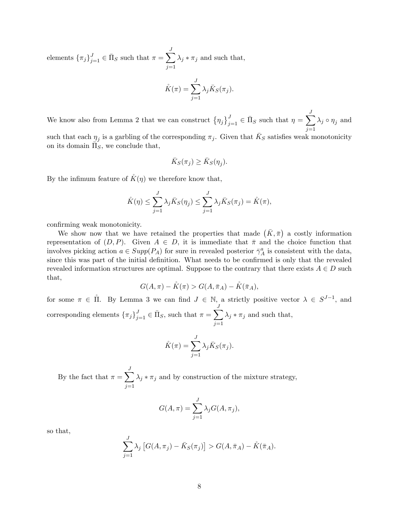elements  $\{\pi_j\}_{j=1}^J \in \bar{\Pi}_S$  such that  $\pi = \sum^J$  $j=1$  $\lambda_j * \pi_j$  and such that,

$$
\mathring{K}(\pi) = \sum_{j=1}^{J} \lambda_j \bar{K}_S(\pi_j).
$$

We know also from Lemma 2 that we can construct  $\left\{\eta_j\right\}_{j=1}^J \in \bar{\Pi}_S$  such that  $\eta = \sum^J$  $j=1$  $\lambda_j \circ \eta_j$  and

such that each  $\eta_j$  is a garbling of the corresponding  $\pi_j$ . Given that  $\bar{K}_S$  satisfies weak monotonicity on its domain  $\overline{\Pi}_S^s$ , we conclude that,

$$
\bar{K}_S(\pi_j) \ge \bar{K}_S(\eta_j).
$$

By the infimum feature of  $K(\eta)$  we therefore know that,

$$
\hat{K}(\eta) \le \sum_{j=1}^{J} \lambda_j \bar{K}_S(\eta_j) \le \sum_{j=1}^{J} \lambda_j \bar{K}_S(\pi_j) = \hat{K}(\pi),
$$

confirming weak monotonicity.

We show now that we have retained the properties that made  $(\bar{K}, \bar{\pi})$  a costly information representation of  $(D, P)$ . Given  $A \in D$ , it is immediate that  $\bar{\pi}$  and the choice function that involves picking action  $a \in Supp(P_A)$  for sure in revealed posterior  $\bar{\gamma}_A^a$  is consistent with the data, since this was part of the initial definition. What needs to be confirmed is only that the revealed revealed information structures are optimal. Suppose to the contrary that there exists  $A \in D$  such that,

$$
G(A, \pi) - \mathring{K}(\pi) > G(A, \bar{\pi}_A) - \mathring{K}(\bar{\pi}_A),
$$

for some  $\pi \in \Pi$ . By Lemma 3 we can find  $J \in \mathbb{N}$ , a strictly positive vector  $\lambda \in S^{J-1}$ , and corresponding elements  $\{\pi_j\}_{j=1}^J \in \bar{\Pi}_S$ , such that  $\pi = \sum^J$  $j=1$  $\lambda_j * \pi_j$  and such that,

$$
\mathring{K}(\pi) = \sum_{j=1}^{J} \lambda_j \bar{K}_S(\pi_j).
$$

By the fact that  $\pi = \sum_{i=1}^{J}$  $j=1$  $\lambda_j * \pi_j$  and by construction of the mixture strategy,

$$
G(A,\pi) = \sum_{j=1}^{J} \lambda_j G(A,\pi_j),
$$

so that,

$$
\sum_{j=1}^{J} \lambda_j \left[ G(A, \pi_j) - \bar{K}_S(\pi_j) \right] > G(A, \bar{\pi}_A) - \mathring{K}(\bar{\pi}_A).
$$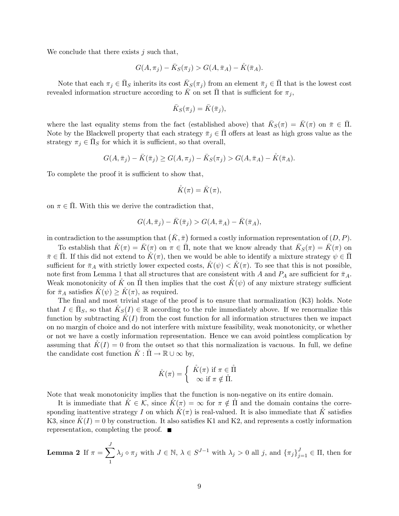We conclude that there exists  $j$  such that,

$$
G(A,\pi_j) - \bar{K}_S(\pi_j) > G(A,\bar{\pi}_A) - \mathring{K}(\bar{\pi}_A).
$$

Note that each  $\pi_j \in \bar{\Pi}_S$  inherits its cost  $\bar{K}_S(\pi_j)$  from an element  $\bar{\pi}_j \in \bar{\Pi}$  that is the lowest cost revealed information structure according to  $\bar{K}$  on set  $\bar{\Pi}$  that is sufficient for  $\pi_j$ ,

$$
\bar{K}_S(\pi_j) = \bar{K}(\bar{\pi}_j),
$$

where the last equality stems from the fact (established above) that  $\bar{K}_S(\pi) = \bar{K}(\pi)$  on  $\bar{\pi} \in \bar{\Pi}$ . Note by the Blackwell property that each strategy  $\bar{\pi}_i \in \bar{\Pi}$  offers at least as high gross value as the strategy  $\pi_j \in \bar{\Pi}_S$  for which it is sufficient, so that overall,

$$
G(A, \bar{\pi}_j) - \bar{K}(\bar{\pi}_j) \ge G(A, \pi_j) - \bar{K}_S(\pi_j) > G(A, \bar{\pi}_A) - \hat{K}(\bar{\pi}_A).
$$

To complete the proof it is sufficient to show that,

$$
\mathring{K}(\pi)=\bar{K}(\pi),
$$

on  $\pi \in \overline{\Pi}$ . With this we derive the contradiction that,

$$
G(A,\overline{\pi}_j) - \overline{K}(\overline{\pi}_j) > G(A,\overline{\pi}_A) - \overline{K}(\overline{\pi}_A),
$$

in contradiction to the assumption that  $(K, \bar{\pi})$  formed a costly information representation of  $(D, P)$ .

To establish that  $K(\pi) = \bar{K}(\pi)$  on  $\pi \in \bar{\Pi}$ , note that we know already that  $\bar{K}_S(\pi) = \bar{K}(\pi)$  on  $\bar{\pi} \in \Pi$ . If this did not extend to  $K(\pi)$ , then we would be able to identify a mixture strategy  $\psi \in \Pi$ sufficient for  $\bar{\pi}_A$  with strictly lower expected costs,  $K(\psi) < K(\pi)$ . To see that this is not possible, note first from Lemma 1 that all structures that are consistent with A and  $P_A$  are sufficient for  $\bar{\pi}_A$ . Weak monotonicity of K on  $\Pi$  then implies that the cost  $K(\psi)$  of any mixture strategy sufficient for  $\bar{\pi}_A$  satisfies  $K(\psi) \geq K(\pi)$ , as required.

The final and most trivial stage of the proof is to ensure that normalization (K3) holds. Note that  $I \in \bar{\Pi}_S$ , so that  $\mathring{K}_S(I) \in \mathbb{R}$  according to the rule immediately above. If we renormalize this function by subtracting  $K(I)$  from the cost function for all information structures then we impact on no margin of choice and do not interfere with mixture feasibility, weak monotonicity, or whether or not we have a costly information representation. Hence we can avoid pointless complication by assuming that  $\tilde{K}(I) = 0$  from the outset so that this normalization is vacuous. In full, we define the candidate cost function  $\check{K} : \check{\Pi} \to \mathbb{R} \cup \infty$  by,

$$
\hat{K}(\pi) = \begin{cases} \n\hat{K}(\pi) & \text{if } \pi \in \mathring{\Pi} \\ \n\infty & \text{if } \pi \notin \mathring{\Pi}. \n\end{cases}
$$

Note that weak monotonicity implies that the function is non-negative on its entire domain.

It is immediate that  $K \in \mathcal{K}$ , since  $K(\pi) = \infty$  for  $\pi \notin \Pi$  and the domain contains the corresponding inattentive strategy I on which  $K(\pi)$  is real-valued. It is also immediate that K satisfies K3, since  $K(I) = 0$  by construction. It also satisfies K1 and K2, and represents a costly information representation, completing the proof.

**Lemma 2** If 
$$
\pi = \sum_{1}^{J} \lambda_j \circ \pi_j
$$
 with  $J \in \mathbb{N}$ ,  $\lambda \in S^{J-1}$  with  $\lambda_j > 0$  all j, and  $\{\pi_j\}_{j=1}^{J} \in \Pi$ , then for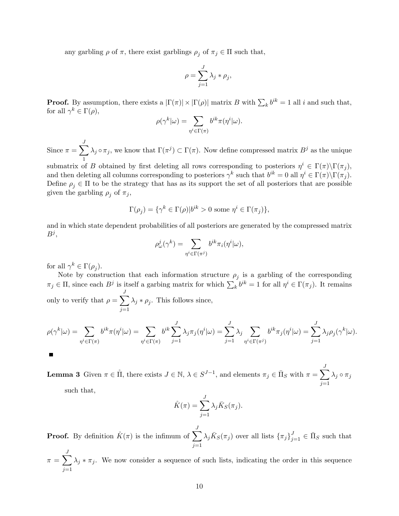any garbling  $\rho$  of  $\pi$ , there exist garblings  $\rho_j$  of  $\pi_j \in \Pi$  such that,

$$
\rho = \sum_{j=1}^{J} \lambda_j * \rho_j,
$$

**Proof.** By assumption, there exists a  $|\Gamma(\pi)| \times |\Gamma(\rho)|$  matrix B with  $\sum_k b^{ik} = 1$  all i and such that, for all  $\gamma^k \in \Gamma(\rho)$ ,

$$
\rho(\gamma^k|\omega) = \sum_{\eta^i \in \Gamma(\pi)} b^{ik} \pi(\eta^i|\omega).
$$

Since  $\pi = \sum_{i=1}^{J}$ 1  $\lambda_j \circ \pi_j$ , we know that  $\Gamma(\pi^j) \subset \Gamma(\pi)$ . Now define compressed matrix  $B^j$  as the unique

submatrix of B obtained by first deleting all rows corresponding to posteriors  $\eta^i \in \Gamma(\pi) \backslash \Gamma(\pi_j)$ , and then deleting all columns corresponding to posteriors  $\gamma^k$  such that  $b^{ik} = 0$  all  $\eta^i \in \Gamma(\pi) \backslash \Gamma(\pi_j)$ . Define  $\rho_j \in \Pi$  to be the strategy that has as its support the set of all posteriors that are possible given the garbling  $\rho_j$  of  $\pi_j$ ,

$$
\Gamma(\rho_j) = \{ \gamma^k \in \Gamma(\rho) | b^{ik} > 0 \text{ some } \eta^i \in \Gamma(\pi_j) \},
$$

and in which state dependent probabilities of all posteriors are generated by the compressed matrix  $B^j,$ 

$$
\rho^j_\omega(\gamma^k)=\sum_{\eta^i\in\Gamma(\pi^j)}b^{ik}\pi_i(\eta^i|\omega),
$$

for all  $\gamma^k \in \Gamma(\rho_j)$ .

Note by construction that each information structure  $\rho_j$  is a garbling of the corresponding  $\pi_j \in \Pi$ , since each  $B^j$  is itself a garbing matrix for which  $\sum_k b^{ik} = 1$  for all  $\eta^i \in \Gamma(\pi_j)$ . It remains only to verify that  $\rho = \sum_{n=1}^{J}$  $j=1$  $\lambda_j * \rho_j$ . This follows since,

$$
\rho(\gamma^k|\omega) = \sum_{\eta^i \in \Gamma(\pi)} b^{ik}\pi(\eta^i|\omega) = \sum_{\eta^i \in \Gamma(\pi)} b^{ik} \sum_{j=1}^J \lambda_j \pi_j(\eta^i|\omega) = \sum_{j=1}^J \lambda_j \sum_{\eta^i \in \Gamma(\pi^j)} b^{ik}\pi_j(\eta^i|\omega) = \sum_{j=1}^J \lambda_j \rho_j(\gamma^k|\omega).
$$

**Lemma 3** Given  $\pi \in \mathring{\Pi}$ , there exists  $J \in \mathbb{N}$ ,  $\lambda \in S^{J-1}$ , and elements  $\pi_j \in \bar{\Pi}_S$  with  $\pi = \sum^J$  $\lambda_j \circ \pi_j$ 

such that,

П

$$
\mathring{K}(\pi) = \sum_{j=1}^{J} \lambda_j \bar{K}_S(\pi_j).
$$

 $j=1$ 

**Proof.** By definition  $\mathring{K}(\pi)$  is the infimum of  $\sum_{i=1}^{J}$  $j=1$  $\lambda_j \bar{K}_S(\pi_j)$  over all lists  $\{\pi_j\}_{j=1}^J \in \bar{\Pi}_S$  such that

 $\pi = \sum_{i=1}^{J}$  $j=1$  $\lambda_j * \pi_j$ . We now consider a sequence of such lists, indicating the order in this sequence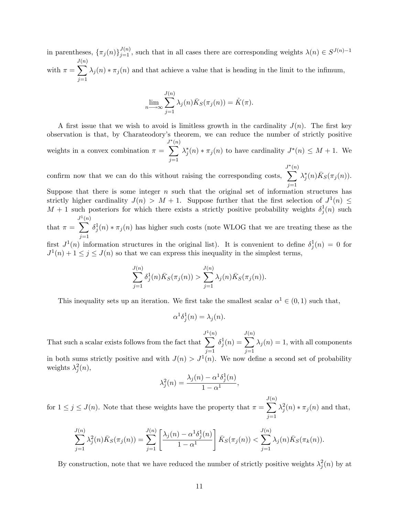in parentheses,  $\{\pi_j(n)\}_{j=1}^{J(n)}$ , such that in all cases there are corresponding weights  $\lambda(n) \in S^{J(n)-1}$ with  $\pi =$ J  $\sum$  $(n)$  $j=1$  $\lambda_j(n) * \pi_j(n)$  and that achieve a value that is heading in the limit to the infimum,

$$
\lim_{n \to \infty} \sum_{j=1}^{J(n)} \lambda_j(n) \bar{K}_S(\pi_j(n)) = \mathring{K}(\pi).
$$

A first issue that we wish to avoid is limitless growth in the cardinality  $J(n)$ . The first key observation is that, by Charateodory's theorem, we can reduce the number of strictly positive weights in a convex combination  $\pi =$  $\sum^{J^*(n)}$ (n)  $j=1$  $\lambda_j^*(n) * \pi_j(n)$  to have cardinality  $J^*(n) \leq M+1$ . We

confirm now that we can do this without raising the corresponding costs,  $\overline{\mathcal{L}}^{*(n)}$ (n)  $j=1$  $\lambda_j^*(n)\overline{K}_S(\pi_j(n)).$ 

Suppose that there is some integer  $n$  such that the original set of information structures has strictly higher cardinality  $J(n) > M + 1$ . Suppose further that the first selection of  $J^1(n) \leq$  $M + 1$  such posteriors for which there exists a strictly positive probability weights  $\delta_j^1(n)$  such J 1(n)

that  $\pi =$  $\overline{\phantom{0}}$  $j=1$  $\delta_j^1(n) * \pi_j(n)$  has higher such costs (note WLOG that we are treating these as the

first  $J^1(n)$  information structures in the original list). It is convenient to define  $\delta_j^1(n) = 0$  for  $J^1(n) + 1 \le j \le J(n)$  so that we can express this inequality in the simplest terms,

$$
\sum_{j=1}^{J(n)} \delta_j^1(n) \bar{K}_S(\pi_j(n)) > \sum_{j=1}^{J(n)} \lambda_j(n) \bar{K}_S(\pi_j(n)).
$$

This inequality sets up an iteration. We first take the smallest scalar  $\alpha^1 \in (0,1)$  such that,

$$
\alpha^1 \delta_j^1(n) = \lambda_j(n).
$$

That such a scalar exists follows from the fact that  $J^1$  $\overline{\phantom{0}}$ (n)  $j=1$  $\delta^1_j(n) =$ J  $\overline{\phantom{0}}$  $(n)$  $j=1$  $\lambda_j(n) = 1$ , with all components in both sums strictly positive and with  $J(n) > J^1(n)$ . We now define a second set of probability weights  $\lambda_j^2(n)$ ,

$$
\lambda_j^2(n) = \frac{\lambda_j(n) - \alpha^1 \delta_j^1(n)}{1 - \alpha^1},
$$

for  $1 \leq j \leq J(n)$ . Note that these weights have the property that  $\pi =$ J  $\overline{\phantom{0}}$ (n)  $j=1$  $\lambda_j^2(n) * \pi_j(n)$  and that,

$$
\sum_{j=1}^{J(n)} \lambda_j^2(n) \bar{K}_S(\pi_j(n)) = \sum_{j=1}^{J(n)} \left[ \frac{\lambda_j(n) - \alpha^1 \delta_j^1(n)}{1 - \alpha^1} \right] \bar{K}_S(\pi_j(n)) < \sum_{j=1}^{J(n)} \lambda_j(n) \bar{K}_S(\pi_k(n)).
$$

By construction, note that we have reduced the number of strictly positive weights  $\lambda_j^2(n)$  by at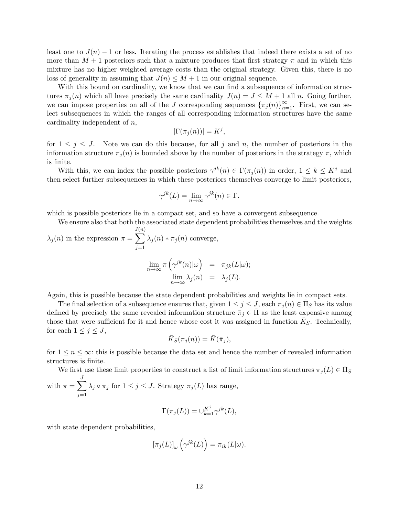least one to  $J(n) - 1$  or less. Iterating the process establishes that indeed there exists a set of no more than  $M + 1$  posteriors such that a mixture produces that first strategy  $\pi$  and in which this mixture has no higher weighted average costs than the original strategy. Given this, there is no loss of generality in assuming that  $J(n) \leq M + 1$  in our original sequence.

With this bound on cardinality, we know that we can find a subsequence of information structures  $\pi_j(n)$  which all have precisely the same cardinality  $J(n) = J \leq M + 1$  all n. Going further, we can impose properties on all of the J corresponding sequences  $\{\pi_j(n)\}_{n=1}^{\infty}$ . First, we can select subsequences in which the ranges of all corresponding information structures have the same cardinality independent of n,

$$
|\Gamma(\pi_j(n))|=K^j,
$$

for  $1 \leq j \leq J$ . Note we can do this because, for all j and n, the number of posteriors in the information structure  $\pi_j(n)$  is bounded above by the number of posteriors in the strategy  $\pi$ , which is finite.

With this, we can index the possible posteriors  $\gamma^{jk}(n) \in \Gamma(\pi_j(n))$  in order,  $1 \leq k \leq K^j$  and then select further subsequences in which these posteriors themselves converge to limit posteriors,

$$
\gamma^{jk}(L) = \lim_{n \to \infty} \gamma^{jk}(n) \in \Gamma.
$$

which is possible posteriors lie in a compact set, and so have a convergent subsequence.

We ensure also that both the associated state dependent probabilities themselves and the weights J (n)

 $\lambda_j(n)$  in the expression  $\pi =$  $\overline{\phantom{0}}$  $j=1$  $\lambda_j(n) * \pi_j(n)$  converge,

$$
\lim_{n \to \infty} \pi \left( \gamma^{jk}(n) | \omega \right) = \pi_{jk}(L|\omega);
$$
  

$$
\lim_{n \to \infty} \lambda_j(n) = \lambda_j(L).
$$

Again, this is possible because the state dependent probabilities and weights lie in compact sets.

The final selection of a subsequence ensures that, given  $1 \le j \le J$ , each  $\pi_j(n) \in \bar{\Pi}_S$  has its value defined by precisely the same revealed information structure  $\bar{\pi}_j \in \Pi$  as the least expensive among those that were sufficient for it and hence whose cost it was assigned in function  $\bar{K}_S$ . Technically, for each  $1 \leq j \leq J$ ,

$$
\bar{K}_S(\pi_j(n)) = \bar{K}(\bar{\pi}_j),
$$

for  $1 \le n \le \infty$ : this is possible because the data set and hence the number of revealed information structures is finite.

We first use these limit properties to construct a list of limit information structures  $\pi_j(L) \in \bar{\Pi}_S$ with  $\pi = \sum_{i=1}^{J}$  $j=1$  $\lambda_j \circ \pi_j$  for  $1 \leq j \leq J$ . Strategy  $\pi_j (L)$  has range,

$$
\Gamma(\pi_j(L))=\cup_{k=1}^{K^j}\gamma^{jk}(L),
$$

with state dependent probabilities,

$$
[\pi_j(L)]_{\omega}\left(\gamma^{jk}(L)\right) = \pi_{ik}(L|\omega).
$$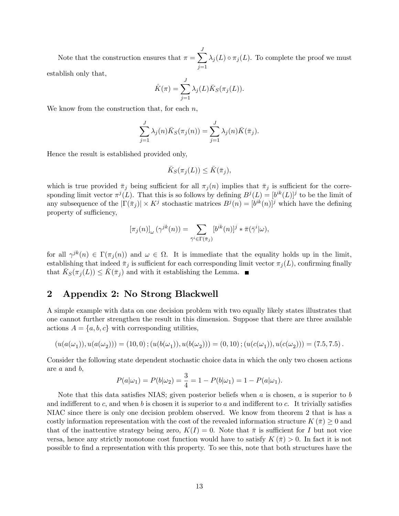Note that the construction ensures that  $\pi = \sum_{n=1}^{J}$  $j=1$  $\lambda_j(L) \circ \pi_j(L)$ . To complete the proof we must establish only that,

$$
\mathring{K}(\pi) = \sum_{j=1}^{J} \lambda_j(L) \bar{K}_S(\pi_j(L)).
$$

We know from the construction that, for each  $n$ ,

$$
\sum_{j=1}^{J} \lambda_j(n) \bar{K}_S(\pi_j(n)) = \sum_{j=1}^{J} \lambda_j(n) \bar{K}(\bar{\pi}_j).
$$

Hence the result is established provided only,

$$
\bar{K}_S(\pi_j(L)) \leq \bar{K}(\bar{\pi}_j),
$$

which is true provided  $\bar{\pi}_j$  being sufficient for all  $\pi_j(n)$  implies that  $\bar{\pi}_j$  is sufficient for the corresponding limit vector  $\pi^{j}(L)$ . That this is so follows by defining  $B^{j}(L) = [b^{ik}(L)]^{j}$  to be the limit of any subsequence of the  $|\Gamma(\bar{\pi}_j)| \times K^j$  stochastic matrices  $B^j(n) = [b^{ik}(n)]^j$  which have the defining property of sufficiency,

$$
[\pi_j(n)]_{\omega} (\gamma^{jk}(n)) = \sum_{\bar{\gamma}^i \in \Gamma(\bar{\pi}_j)} [b^{ik}(n)]^j \ast \bar{\pi}(\bar{\gamma}^i|\omega),
$$

for all  $\gamma^{jk}(n) \in \Gamma(\pi_j(n))$  and  $\omega \in \Omega$ . It is immediate that the equality holds up in the limit, establishing that indeed  $\bar{\pi}_j$  is sufficient for each corresponding limit vector  $\pi_j(L)$ , confirming finally that  $\bar{K}_S(\pi_j(L)) \leq \bar{K}(\bar{\pi}_j)$  and with it establishing the Lemma.

#### 2 Appendix 2: No Strong Blackwell

A simple example with data on one decision problem with two equally likely states illustrates that one cannot further strengthen the result in this dimension. Suppose that there are three available actions  $A = \{a, b, c\}$  with corresponding utilities,

$$
(u(a(\omega_1)), u(a(\omega_2))) = (10,0); (u(b(\omega_1)), u(b(\omega_2))) = (0,10); (u(c(\omega_1)), u(c(\omega_2))) = (7.5,7.5).
$$

Consider the following state dependent stochastic choice data in which the only two chosen actions are a and b,

$$
P(a|\omega_1) = P(b|\omega_2) = \frac{3}{4} = 1 - P(b|\omega_1) = 1 - P(a|\omega_1).
$$

Note that this data satisfies NIAS; given posterior beliefs when  $a$  is chosen,  $a$  is superior to  $b$ and indifferent to c, and when b is chosen it is superior to a and indifferent to c. It trivially satisfies NIAC since there is only one decision problem observed. We know from theorem 2 that is has a costly information representation with the cost of the revealed information structure  $K(\bar{\pi}) \geq 0$  and that of the inattentive strategy being zero,  $K(I) = 0$ . Note that  $\bar{\pi}$  is sufficient for I but not vice versa, hence any strictly monotone cost function would have to satisfy  $K(\bar{\pi}) > 0$ . In fact it is not possible to Önd a representation with this property. To see this, note that both structures have the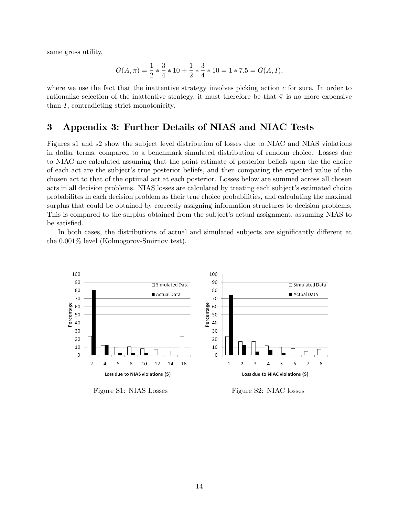same gross utility,

$$
G(A,\pi) = \frac{1}{2} * \frac{3}{4} * 10 + \frac{1}{2} * \frac{3}{4} * 10 = 1 * 7.5 = G(A,I),
$$

where we use the fact that the inattentive strategy involves picking action  $c$  for sure. In order to rationalize selection of the inattentive strategy, it must therefore be that  $\bar{\pi}$  is no more expensive than I, contradicting strict monotonicity.

#### 3 Appendix 3: Further Details of NIAS and NIAC Tests

Figures s1 and s2 show the subject level distribution of losses due to NIAC and NIAS violations in dollar terms, compared to a benchmark simulated distribution of random choice. Losses due to NIAC are calculated assuming that the point estimate of posterior beliefs upon the the choice of each act are the subjectís true posterior beliefs, and then comparing the expected value of the chosen act to that of the optimal act at each posterior. Losses below are summed across all chosen acts in all decision problems. NIAS losses are calculated by treating each subject's estimated choice probabilites in each decision problem as their true choice probabilities, and calculating the maximal surplus that could be obtained by correctly assigning information structures to decision problems. This is compared to the surplus obtained from the subject's actual assignment, assuming NIAS to be satisfied.

In both cases, the distributions of actual and simulated subjects are significantly different at the 0.001% level (Kolmogorov-Smirnov test).



Figure S1: NIAS Losses Figure S2: NIAC losses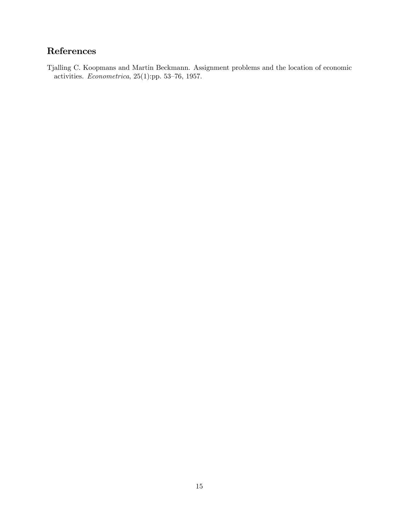## References

Tjalling C. Koopmans and Martin Beckmann. Assignment problems and the location of economic activities.  $Econometrica$ , 25(1):pp. 53-76, 1957.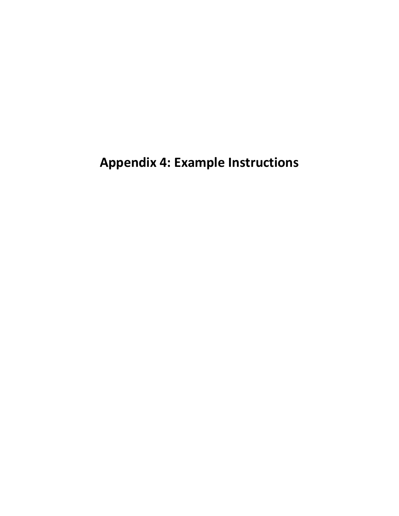**Appendix 4: Example Instructions**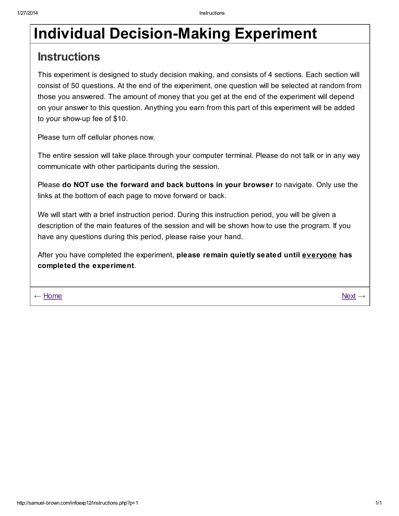# **Instructions**

This experiment is designed to study decision making, and consists of 4 sections. Each section will consist of 50 questions. At the end of the experiment, one question will be selected at random from those you answered. The amount of money that you get at the end of the experiment will depend on your answer to this question. Anything you earn from this part of this experiment will be added to your show-up fee of \$10.

Please turn off cellular phones now.

The entire session will take place through your computer terminal. Please do not talk or in any way communicate with other participants during the session.

Please do NOT use the forward and back buttons in your browser to navigate. Only use the links at the bottom of each page to move forward or back.

We will start with a brief instruction period. During this instruction period, you will be given a description of the main features of the session and will be shown how to use the program. If you have any questions during this period, please raise your hand.

After you have completed the experiment, please remain quietly seated until everyone has completed the experiment.

← [Home](http://samuel-brown.com/infoexp12/login-home.php)  $\leq$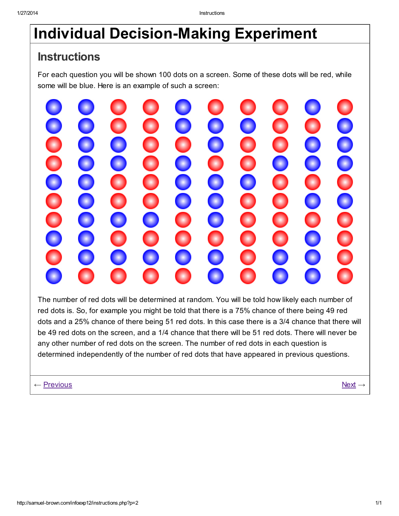# **Instructions**

For each question you will be shown 100 dots on a screen. Some of these dots will be red, while some will be blue. Here is an example of such a screen:



The number of red dots will be determined at random. You will be told how likely each number of red dots is. So, for example you might be told that there is a 75% chance of there being 49 red dots and a 25% chance of there being 51 red dots. In this case there is a 3/4 chance that there will be 49 red dots on the screen, and a 1/4 chance that there will be 51 red dots. There will never be any other number of red dots on the screen. The number of red dots in each question is determined independently of the number of red dots that have appeared in previous questions.

← [Previous](http://samuel-brown.com/infoexp12/instructions.php?p=1) [Next](http://samuel-brown.com/infoexp12/instructions.php?p=3) → Next → Next → Next → Next → Next → Next → Next → Next → Next → Next → Next → Next → Next → Next → Next → Next → Next → Next → Next → Next → Next → Next → Next → Next → Next → Next → Next → Next → Next →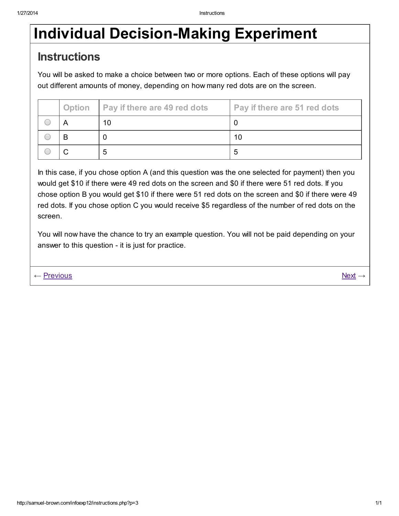# **Instructions**

You will be asked to make a choice between two or more options. Each of these options will pay out different amounts of money, depending on how many red dots are on the screen.

| <b>Option</b> | <b>Pay if there are 49 red dots</b> | Pay if there are 51 red dots |
|---------------|-------------------------------------|------------------------------|
|               | 10                                  |                              |
| B             |                                     | 10                           |
|               |                                     | .5                           |

In this case, if you chose option A (and this question was the one selected for payment) then you would get \$10 if there were 49 red dots on the screen and \$0 if there were 51 red dots. If you chose option B you would get \$10 if there were 51 red dots on the screen and \$0 if there were 49 red dots. If you chose option C you would receive \$5 regardless of the number of red dots on the screen.

You will now have the chance to try an example question. You will not be paid depending on your answer to this question - it is just for practice.

← <u>[Previous](http://samuel-brown.com/infoexp12/instructions.php?p=2)</u> [Next](http://samuel-brown.com/infoexp12/instructions.php?p=4) →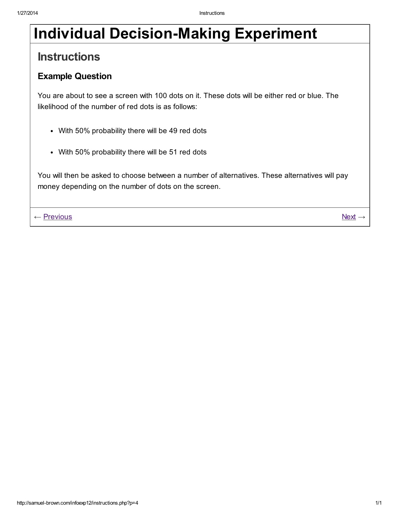# **Instructions**

### Example Question

You are about to see a screen with 100 dots on it. These dots will be either red or blue. The likelihood of the number of red dots is as follows:

- With 50% probability there will be 49 red dots
- With 50% probability there will be 51 red dots

You will then be asked to choose between a number of alternatives. These alternatives will pay money depending on the number of dots on the screen.

← <u>[Previous](http://samuel-brown.com/infoexp12/instructions.php?p=3)</u> [Next](http://samuel-brown.com/infoexp12/instructions.php?p=5) → Next → Next → Next → Next → Next → Next → Next → Next → Next → Next → Next → Next → Next → Next → Next → Next → Next → Next → Next → Next → Next → Next → Next → Next → Next → Next → Next → Next → Next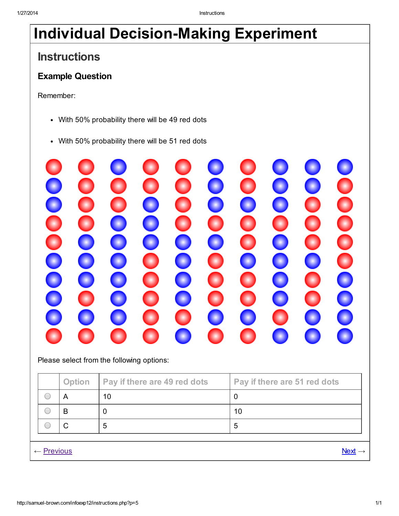# **Instructions**

## Example Question

Remember:

- With 50% probability there will be 49 red dots
- With 50% probability there will be 51 red dots



Please select from the following options:

|                       | <b>Option</b> | <b>Pay if there are 49 red dots</b> | Pay if there are 51 red dots |
|-----------------------|---------------|-------------------------------------|------------------------------|
|                       | A             | 10                                  |                              |
|                       | B             | 0                                   | 10                           |
|                       | C             | 5                                   | 5                            |
|                       |               |                                     |                              |
| $\leftarrow$ Previous |               |                                     | $Next \rightarrow$           |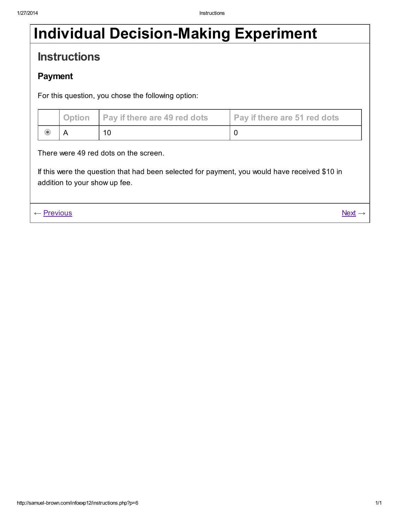# **Instructions**

## Payment

For this question, you chose the following option:

|                                                                                                                                                                         | <b>Option</b> | Pay if there are 49 red dots | Pay if there are 51 red dots |
|-------------------------------------------------------------------------------------------------------------------------------------------------------------------------|---------------|------------------------------|------------------------------|
| $\circ$                                                                                                                                                                 | A             | 10                           | 0                            |
| There were 49 red dots on the screen.<br>If this were the question that had been selected for payment, you would have received \$10 in<br>addition to your show up fee. |               |                              |                              |
| $\leftarrow$ Previous                                                                                                                                                   |               |                              | $Next \rightarrow$           |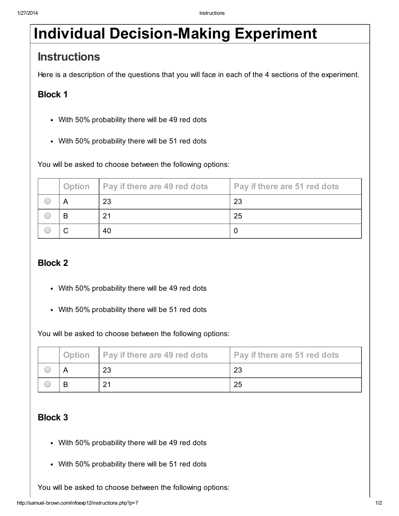# **Instructions**

Here is a description of the questions that you will face in each of the 4 sections of the experiment.

## Block 1

- With 50% probability there will be 49 red dots
- With 50% probability there will be 51 red dots

You will be asked to choose between the following options:

| <b>Option</b> | Pay if there are 49 red dots | <b>Pay if there are 51 red dots</b> |
|---------------|------------------------------|-------------------------------------|
|               | 23                           | 23                                  |
| В             | 21                           | 25                                  |
|               | 40                           | 0                                   |

### Block 2

- With 50% probability there will be 49 red dots
- With 50% probability there will be 51 red dots

You will be asked to choose between the following options:

| Option | <b>Pay if there are 49 red dots</b> | Pay if there are 51 red dots |
|--------|-------------------------------------|------------------------------|
|        | 23                                  | 23                           |
|        | 21                                  | 25                           |

### Block 3

- With 50% probability there will be 49 red dots
- With 50% probability there will be 51 red dots

You will be asked to choose between the following options: